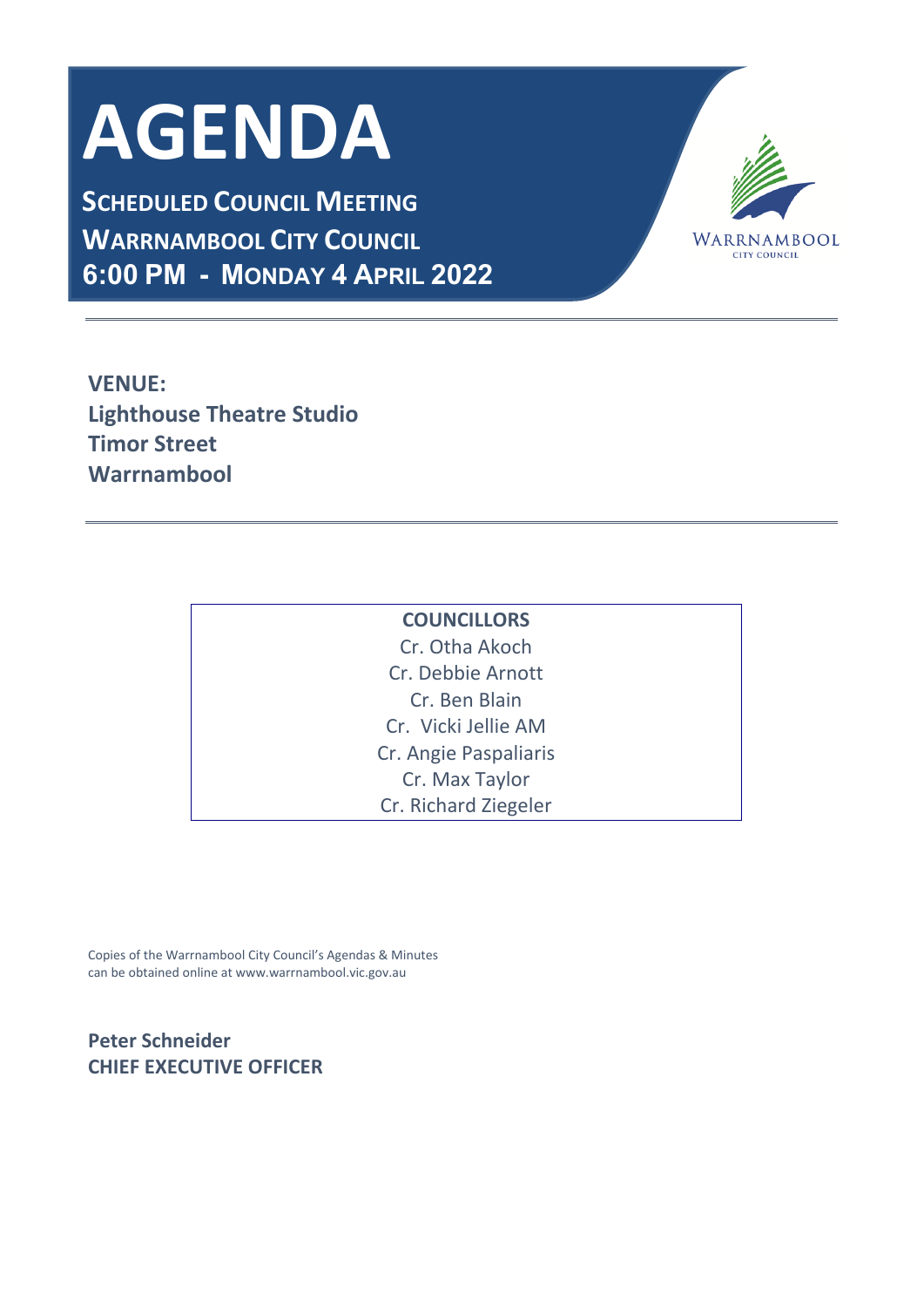# **AGENDA**

**SCHEDULED COUNCIL MEETING WARRNAMBOOL CITY COUNCIL 6:00 PM - MONDAY 4 APRIL 2022**



**VENUE: Lighthouse Theatre Studio Timor Street Warrnambool**

| <b>COUNCILLORS</b>    |
|-----------------------|
| Cr. Otha Akoch        |
| Cr. Debbie Arnott     |
| Cr. Ben Blain         |
| Cr. Vicki Jellie AM   |
| Cr. Angie Paspaliaris |
| Cr. Max Taylor        |
| Cr. Richard Ziegeler  |

Copies of the Warrnambool City Council's Agendas & Minutes can be obtained online at www.warrnambool.vic.gov.au

# **Peter Schneider CHIEF EXECUTIVE OFFICER**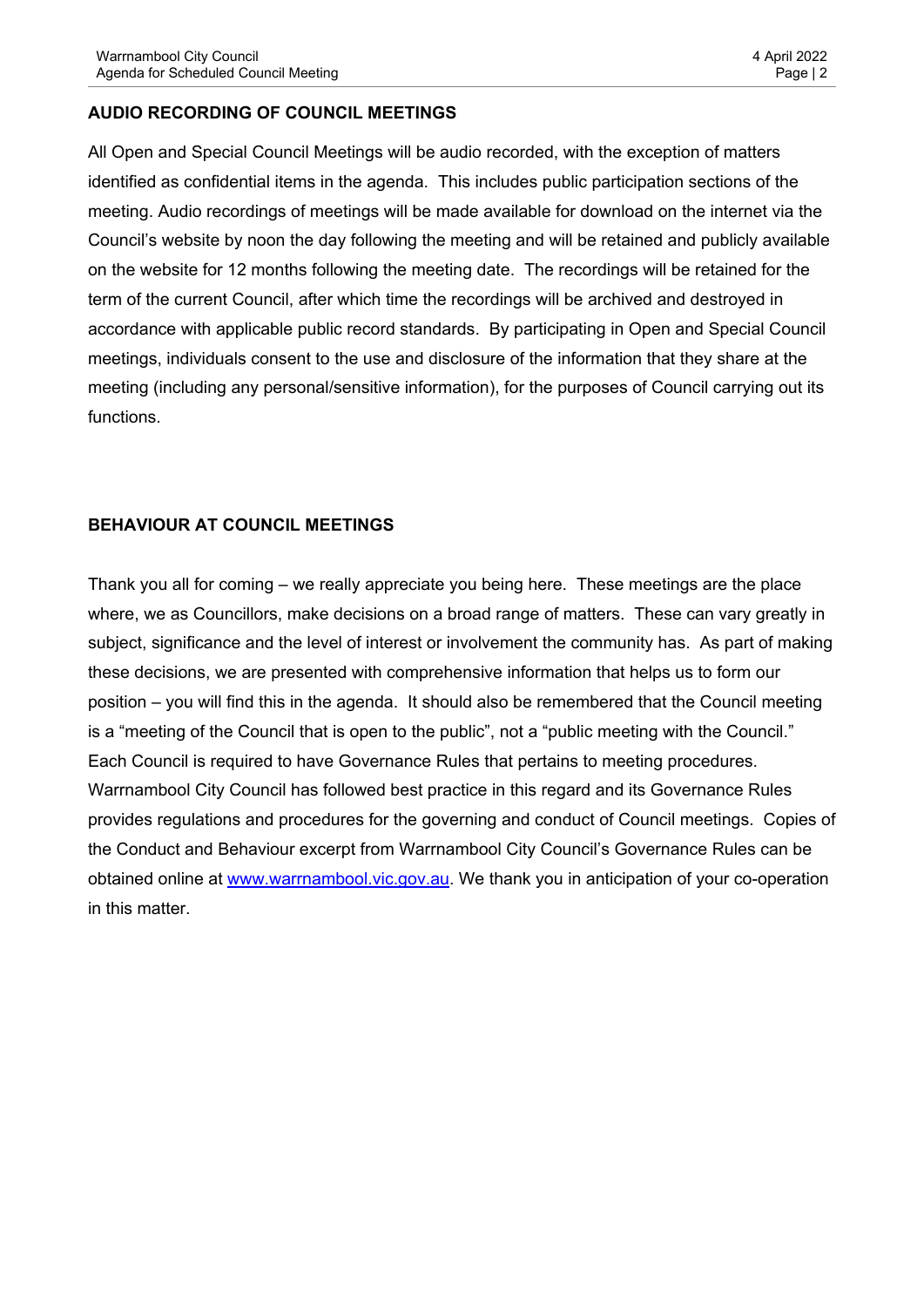#### **AUDIO RECORDING OF COUNCIL MEETINGS**

All Open and Special Council Meetings will be audio recorded, with the exception of matters identified as confidential items in the agenda. This includes public participation sections of the meeting. Audio recordings of meetings will be made available for download on the internet via the Council's website by noon the day following the meeting and will be retained and publicly available on the website for 12 months following the meeting date. The recordings will be retained for the term of the current Council, after which time the recordings will be archived and destroyed in accordance with applicable public record standards. By participating in Open and Special Council meetings, individuals consent to the use and disclosure of the information that they share at the meeting (including any personal/sensitive information), for the purposes of Council carrying out its functions.

#### **BEHAVIOUR AT COUNCIL MEETINGS**

Thank you all for coming – we really appreciate you being here. These meetings are the place where, we as Councillors, make decisions on a broad range of matters. These can vary greatly in subject, significance and the level of interest or involvement the community has. As part of making these decisions, we are presented with comprehensive information that helps us to form our position – you will find this in the agenda. It should also be remembered that the Council meeting is a "meeting of the Council that is open to the public", not a "public meeting with the Council." Each Council is required to have Governance Rules that pertains to meeting procedures. Warrnambool City Council has followed best practice in this regard and its Governance Rules provides regulations and procedures for the governing and conduct of Council meetings. Copies of the Conduct and Behaviour excerpt from Warrnambool City Council's Governance Rules can be obtained online at [www.warrnambool.vic.gov.au.](http://www.warrnambool.vic.gov.au/) We thank you in anticipation of your co-operation in this matter.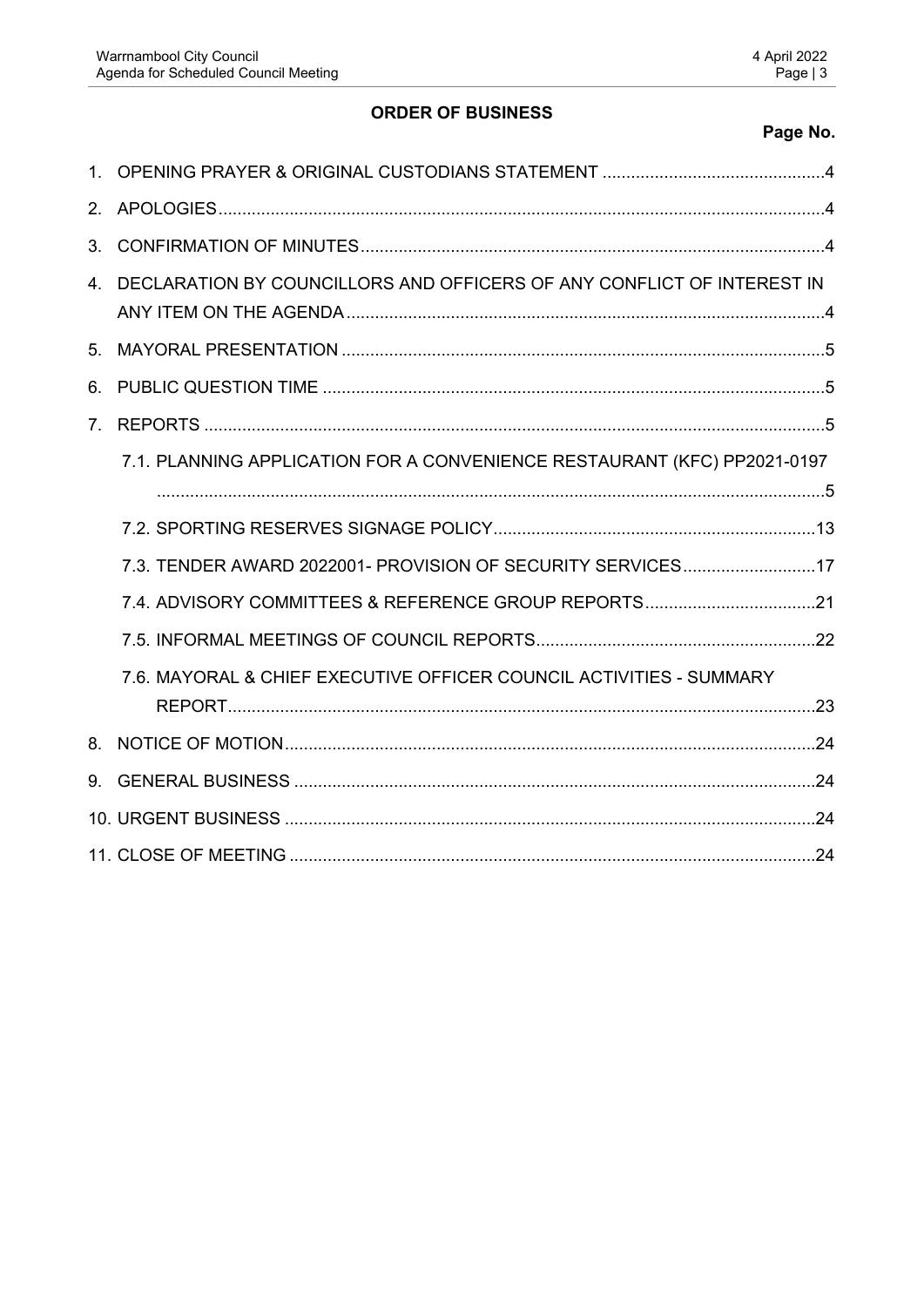# **ORDER OF BUSINESS**

## Page No.

| 3 <sub>1</sub> |                                                                           |  |  |  |
|----------------|---------------------------------------------------------------------------|--|--|--|
|                | 4. DECLARATION BY COUNCILLORS AND OFFICERS OF ANY CONFLICT OF INTEREST IN |  |  |  |
| 5 <sub>1</sub> |                                                                           |  |  |  |
| 6.             |                                                                           |  |  |  |
| 7 <sub>1</sub> |                                                                           |  |  |  |
|                | 7.1. PLANNING APPLICATION FOR A CONVENIENCE RESTAURANT (KFC) PP2021-0197  |  |  |  |
|                |                                                                           |  |  |  |
|                |                                                                           |  |  |  |
|                | 7.3. TENDER AWARD 2022001- PROVISION OF SECURITY SERVICES17               |  |  |  |
|                |                                                                           |  |  |  |
|                |                                                                           |  |  |  |
|                | 7.6. MAYORAL & CHIEF EXECUTIVE OFFICER COUNCIL ACTIVITIES - SUMMARY       |  |  |  |
|                |                                                                           |  |  |  |
|                |                                                                           |  |  |  |
|                |                                                                           |  |  |  |
|                |                                                                           |  |  |  |
|                |                                                                           |  |  |  |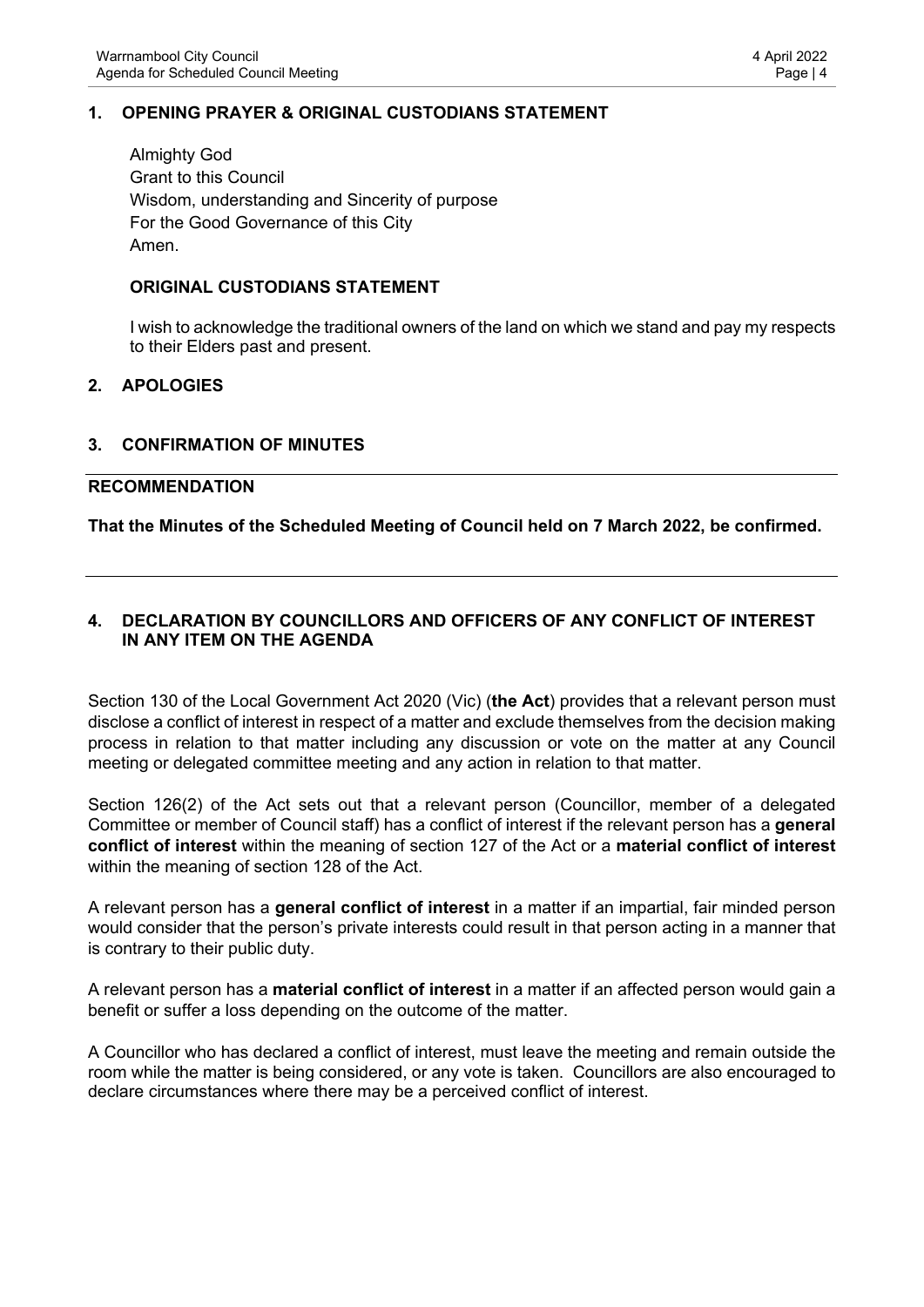## <span id="page-3-0"></span>**1. OPENING PRAYER & ORIGINAL CUSTODIANS STATEMENT**

Almighty God Grant to this Council Wisdom, understanding and Sincerity of purpose For the Good Governance of this City Amen.

#### **ORIGINAL CUSTODIANS STATEMENT**

I wish to acknowledge the traditional owners of the land on which we stand and pay my respects to their Elders past and present.

#### <span id="page-3-1"></span>**2. APOLOGIES**

#### <span id="page-3-2"></span>**3. CONFIRMATION OF MINUTES**

#### **RECOMMENDATION**

**That the Minutes of the Scheduled Meeting of Council held on 7 March 2022, be confirmed.**

#### <span id="page-3-3"></span>**4. DECLARATION BY COUNCILLORS AND OFFICERS OF ANY CONFLICT OF INTEREST IN ANY ITEM ON THE AGENDA**

Section 130 of the Local Government Act 2020 (Vic) (**the Act**) provides that a relevant person must disclose a conflict of interest in respect of a matter and exclude themselves from the decision making process in relation to that matter including any discussion or vote on the matter at any Council meeting or delegated committee meeting and any action in relation to that matter.

Section 126(2) of the Act sets out that a relevant person (Councillor, member of a delegated Committee or member of Council staff) has a conflict of interest if the relevant person has a **general conflict of interest** within the meaning of section 127 of the Act or a **material conflict of interest**  within the meaning of section 128 of the Act.

A relevant person has a **general conflict of interest** in a matter if an impartial, fair minded person would consider that the person's private interests could result in that person acting in a manner that is contrary to their public duty.

A relevant person has a **material conflict of interest** in a matter if an affected person would gain a benefit or suffer a loss depending on the outcome of the matter.

A Councillor who has declared a conflict of interest, must leave the meeting and remain outside the room while the matter is being considered, or any vote is taken. Councillors are also encouraged to declare circumstances where there may be a perceived conflict of interest.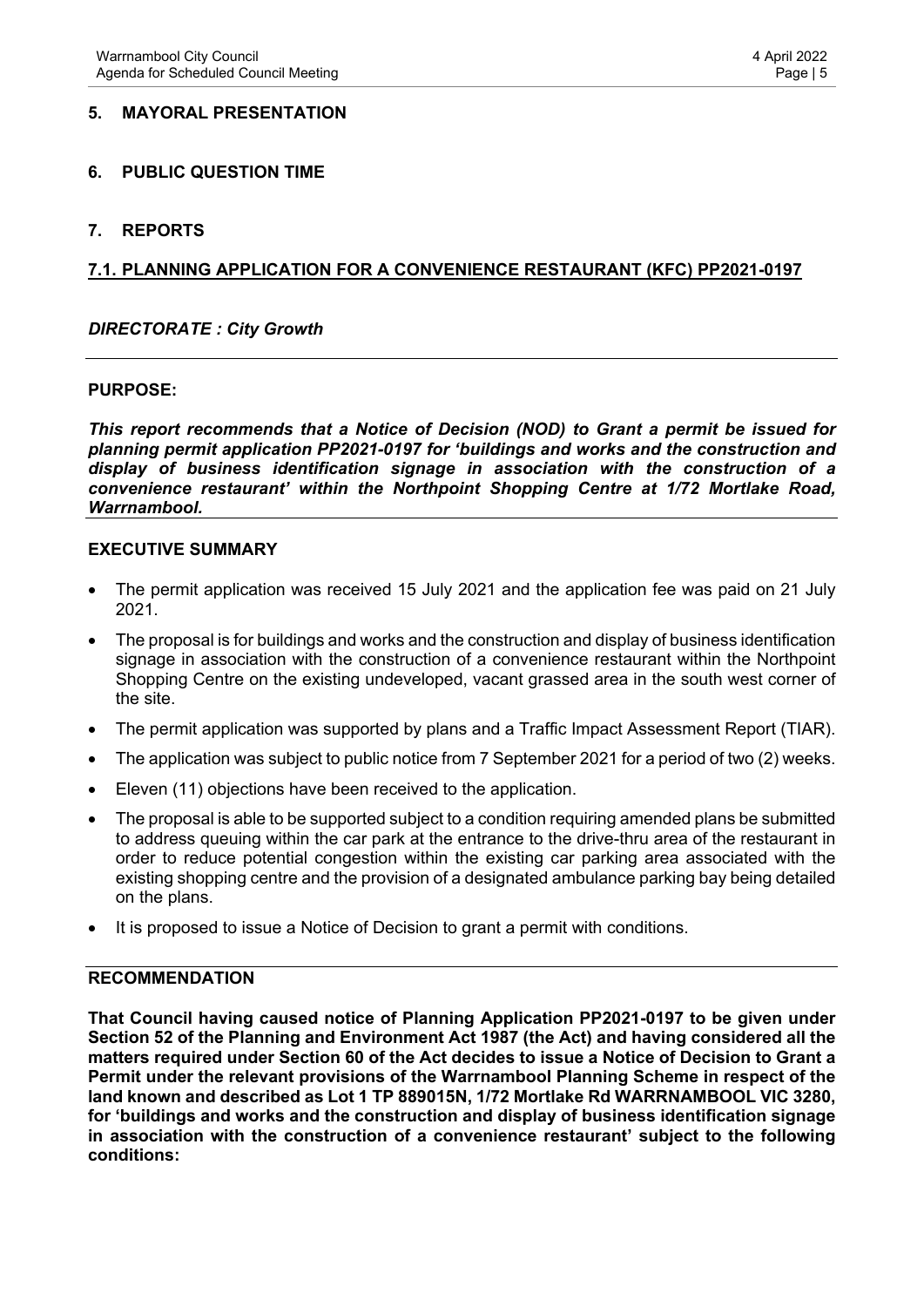#### <span id="page-4-0"></span>**5. MAYORAL PRESENTATION**

#### <span id="page-4-1"></span>**6. PUBLIC QUESTION TIME**

#### <span id="page-4-2"></span>**7. REPORTS**

#### <span id="page-4-3"></span>**7.1. PLANNING APPLICATION FOR A CONVENIENCE RESTAURANT (KFC) PP2021-0197**

#### *DIRECTORATE : City Growth*

#### **PURPOSE:**

*This report recommends that a Notice of Decision (NOD) to Grant a permit be issued for planning permit application PP2021-0197 for 'buildings and works and the construction and display of business identification signage in association with the construction of a convenience restaurant' within the Northpoint Shopping Centre at 1/72 Mortlake Road, Warrnambool.*

#### **EXECUTIVE SUMMARY**

- The permit application was received 15 July 2021 and the application fee was paid on 21 July 2021.
- The proposal is for buildings and works and the construction and display of business identification signage in association with the construction of a convenience restaurant within the Northpoint Shopping Centre on the existing undeveloped, vacant grassed area in the south west corner of the site.
- The permit application was supported by plans and a Traffic Impact Assessment Report (TIAR).
- The application was subject to public notice from 7 September 2021 for a period of two (2) weeks.
- Eleven (11) objections have been received to the application.
- The proposal is able to be supported subject to a condition requiring amended plans be submitted to address queuing within the car park at the entrance to the drive-thru area of the restaurant in order to reduce potential congestion within the existing car parking area associated with the existing shopping centre and the provision of a designated ambulance parking bay being detailed on the plans.
- It is proposed to issue a Notice of Decision to grant a permit with conditions.

#### **RECOMMENDATION**

**That Council having caused notice of Planning Application PP2021-0197 to be given under Section 52 of the Planning and Environment Act 1987 (the Act) and having considered all the matters required under Section 60 of the Act decides to issue a Notice of Decision to Grant a Permit under the relevant provisions of the Warrnambool Planning Scheme in respect of the land known and described as Lot 1 TP 889015N, 1/72 Mortlake Rd WARRNAMBOOL VIC 3280, for 'buildings and works and the construction and display of business identification signage in association with the construction of a convenience restaurant' subject to the following conditions:**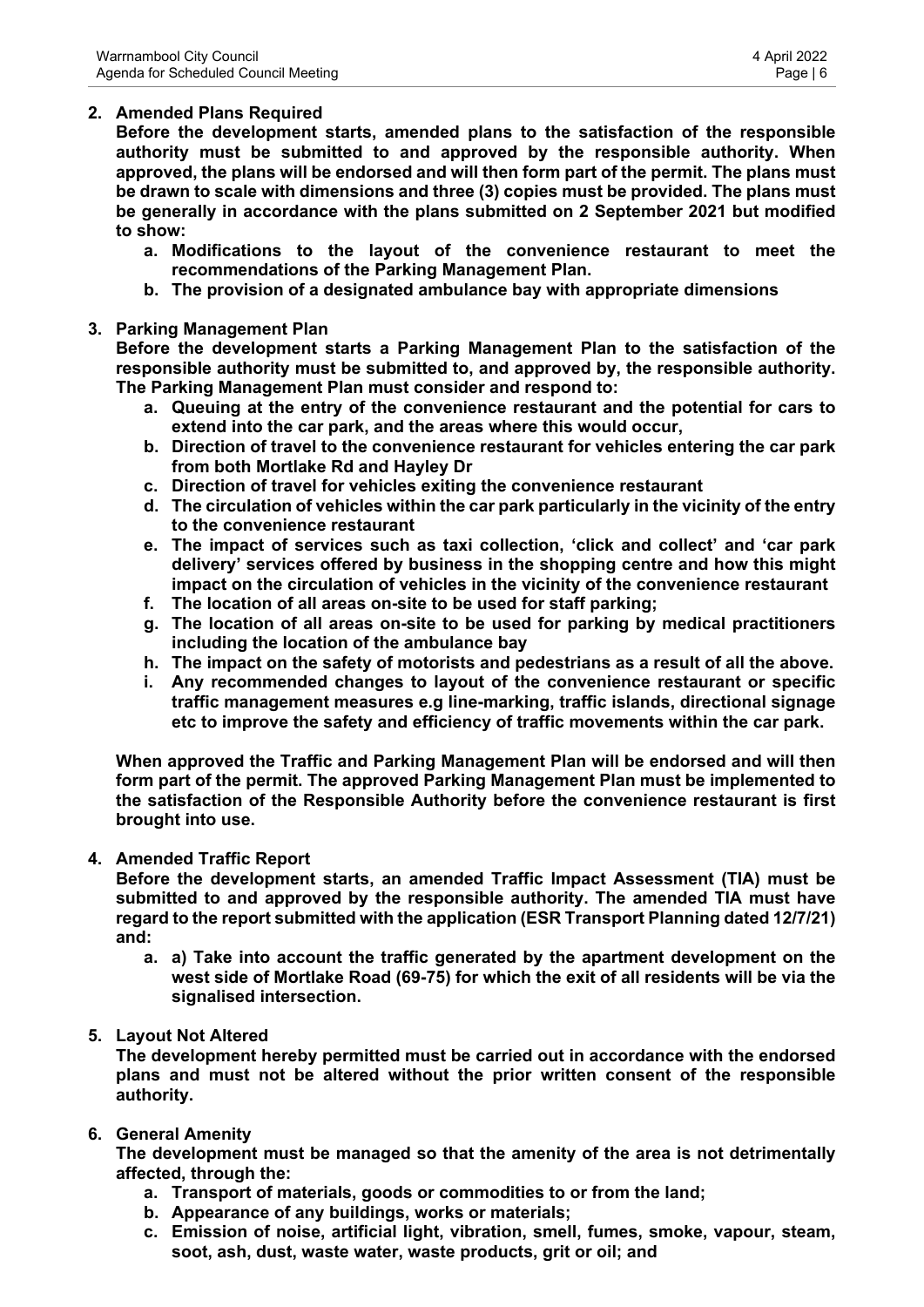## **2. Amended Plans Required**

**Before the development starts, amended plans to the satisfaction of the responsible authority must be submitted to and approved by the responsible authority. When approved, the plans will be endorsed and will then form part of the permit. The plans must be drawn to scale with dimensions and three (3) copies must be provided. The plans must be generally in accordance with the plans submitted on 2 September 2021 but modified to show:**

- **a. Modifications to the layout of the convenience restaurant to meet the recommendations of the Parking Management Plan.**
- **b. The provision of a designated ambulance bay with appropriate dimensions**

#### **3. Parking Management Plan**

**Before the development starts a Parking Management Plan to the satisfaction of the responsible authority must be submitted to, and approved by, the responsible authority. The Parking Management Plan must consider and respond to:**

- **a. Queuing at the entry of the convenience restaurant and the potential for cars to extend into the car park, and the areas where this would occur,**
- **b. Direction of travel to the convenience restaurant for vehicles entering the car park from both Mortlake Rd and Hayley Dr**
- **c. Direction of travel for vehicles exiting the convenience restaurant**
- **d. The circulation of vehicles within the car park particularly in the vicinity of the entry to the convenience restaurant**
- **e. The impact of services such as taxi collection, 'click and collect' and 'car park delivery' services offered by business in the shopping centre and how this might impact on the circulation of vehicles in the vicinity of the convenience restaurant**
- **f. The location of all areas on-site to be used for staff parking;**
- **g. The location of all areas on-site to be used for parking by medical practitioners including the location of the ambulance bay**
- **h. The impact on the safety of motorists and pedestrians as a result of all the above.**
- **i. Any recommended changes to layout of the convenience restaurant or specific traffic management measures e.g line-marking, traffic islands, directional signage etc to improve the safety and efficiency of traffic movements within the car park.**

**When approved the Traffic and Parking Management Plan will be endorsed and will then form part of the permit. The approved Parking Management Plan must be implemented to the satisfaction of the Responsible Authority before the convenience restaurant is first brought into use.**

#### **4. Amended Traffic Report**

**Before the development starts, an amended Traffic Impact Assessment (TIA) must be submitted to and approved by the responsible authority. The amended TIA must have regard to the report submitted with the application (ESR Transport Planning dated 12/7/21) and:**

**a. a) Take into account the traffic generated by the apartment development on the west side of Mortlake Road (69-75) for which the exit of all residents will be via the signalised intersection.**

#### **5. Layout Not Altered**

**The development hereby permitted must be carried out in accordance with the endorsed plans and must not be altered without the prior written consent of the responsible authority.**

#### **6. General Amenity**

**The development must be managed so that the amenity of the area is not detrimentally affected, through the:**

- **a. Transport of materials, goods or commodities to or from the land;**
- **b. Appearance of any buildings, works or materials;**
- **c. Emission of noise, artificial light, vibration, smell, fumes, smoke, vapour, steam, soot, ash, dust, waste water, waste products, grit or oil; and**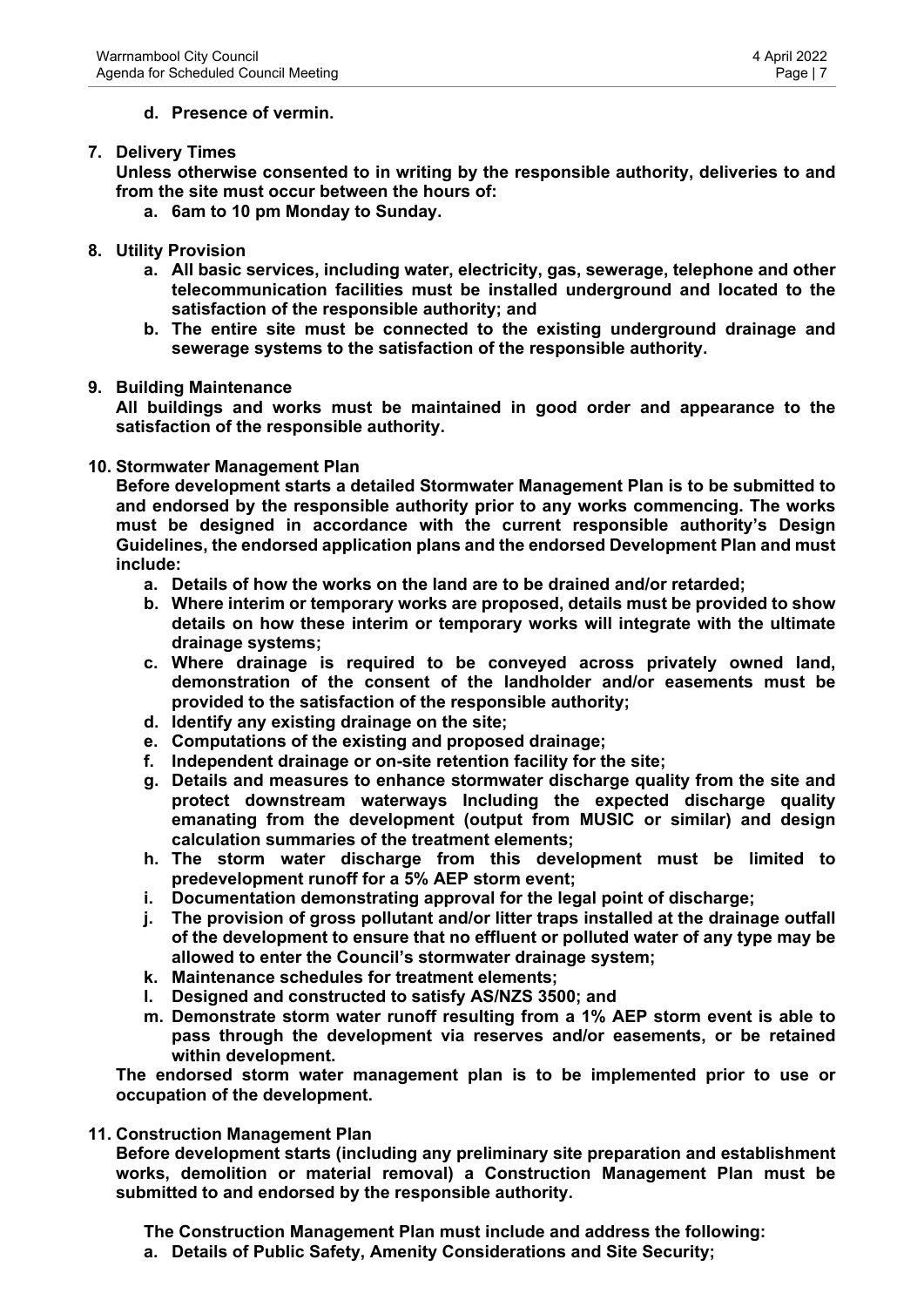### **d. Presence of vermin.**

#### **7. Delivery Times**

**Unless otherwise consented to in writing by the responsible authority, deliveries to and from the site must occur between the hours of:**

- **a. 6am to 10 pm Monday to Sunday.**
- **8. Utility Provision**
	- **a. All basic services, including water, electricity, gas, sewerage, telephone and other telecommunication facilities must be installed underground and located to the satisfaction of the responsible authority; and**
	- **b. The entire site must be connected to the existing underground drainage and sewerage systems to the satisfaction of the responsible authority.**

#### **9. Building Maintenance**

**All buildings and works must be maintained in good order and appearance to the satisfaction of the responsible authority.**

#### **10. Stormwater Management Plan**

**Before development starts a detailed Stormwater Management Plan is to be submitted to and endorsed by the responsible authority prior to any works commencing. The works must be designed in accordance with the current responsible authority's Design Guidelines, the endorsed application plans and the endorsed Development Plan and must include:**

- **a. Details of how the works on the land are to be drained and/or retarded;**
- **b. Where interim or temporary works are proposed, details must be provided to show details on how these interim or temporary works will integrate with the ultimate drainage systems;**
- **c. Where drainage is required to be conveyed across privately owned land, demonstration of the consent of the landholder and/or easements must be provided to the satisfaction of the responsible authority;**
- **d. Identify any existing drainage on the site;**
- **e. Computations of the existing and proposed drainage;**
- **f. Independent drainage or on-site retention facility for the site;**
- **g. Details and measures to enhance stormwater discharge quality from the site and protect downstream waterways Including the expected discharge quality emanating from the development (output from MUSIC or similar) and design calculation summaries of the treatment elements;**
- **h. The storm water discharge from this development must be limited to predevelopment runoff for a 5% AEP storm event;**
- **i. Documentation demonstrating approval for the legal point of discharge;**
- **j. The provision of gross pollutant and/or litter traps installed at the drainage outfall of the development to ensure that no effluent or polluted water of any type may be allowed to enter the Council's stormwater drainage system;**
- **k. Maintenance schedules for treatment elements;**
- **l. Designed and constructed to satisfy AS/NZS 3500; and**
- **m. Demonstrate storm water runoff resulting from a 1% AEP storm event is able to pass through the development via reserves and/or easements, or be retained within development.**

**The endorsed storm water management plan is to be implemented prior to use or occupation of the development.**

#### **11. Construction Management Plan**

**Before development starts (including any preliminary site preparation and establishment works, demolition or material removal) a Construction Management Plan must be submitted to and endorsed by the responsible authority.**

**The Construction Management Plan must include and address the following:**

**a. Details of Public Safety, Amenity Considerations and Site Security;**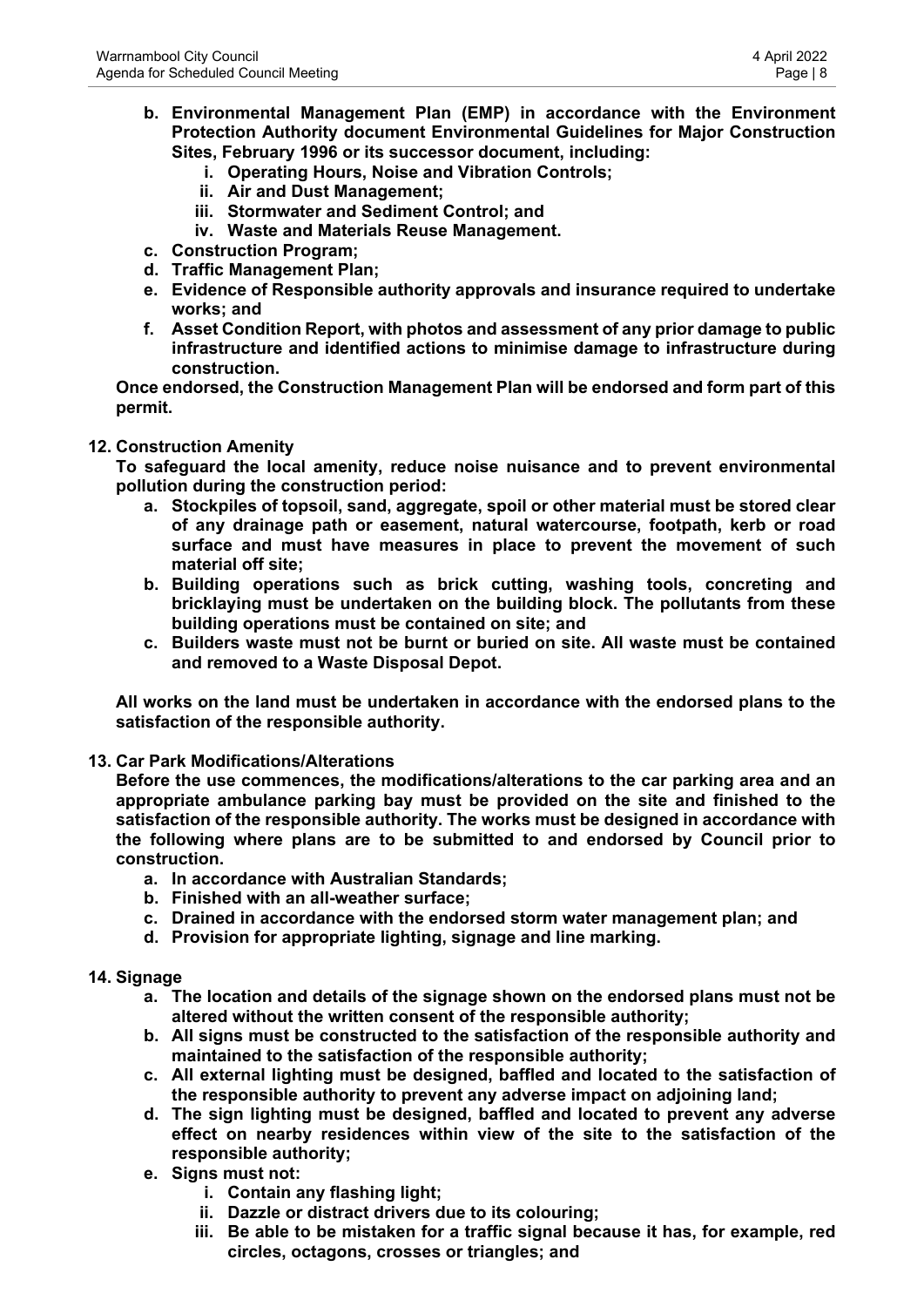- **b. Environmental Management Plan (EMP) in accordance with the Environment Protection Authority document Environmental Guidelines for Major Construction Sites, February 1996 or its successor document, including:**
	- **i. Operating Hours, Noise and Vibration Controls;**
	- **ii. Air and Dust Management;**
	- **iii. Stormwater and Sediment Control; and**
	- **iv. Waste and Materials Reuse Management.**
- **c. Construction Program;**
- **d. Traffic Management Plan;**
- **e. Evidence of Responsible authority approvals and insurance required to undertake works; and**
- **f. Asset Condition Report, with photos and assessment of any prior damage to public infrastructure and identified actions to minimise damage to infrastructure during construction.**

**Once endorsed, the Construction Management Plan will be endorsed and form part of this permit.**

#### **12. Construction Amenity**

**To safeguard the local amenity, reduce noise nuisance and to prevent environmental pollution during the construction period:**

- **a. Stockpiles of topsoil, sand, aggregate, spoil or other material must be stored clear of any drainage path or easement, natural watercourse, footpath, kerb or road surface and must have measures in place to prevent the movement of such material off site;**
- **b. Building operations such as brick cutting, washing tools, concreting and bricklaying must be undertaken on the building block. The pollutants from these building operations must be contained on site; and**
- **c. Builders waste must not be burnt or buried on site. All waste must be contained and removed to a Waste Disposal Depot.**

**All works on the land must be undertaken in accordance with the endorsed plans to the satisfaction of the responsible authority.**

**13. Car Park Modifications/Alterations**

**Before the use commences, the modifications/alterations to the car parking area and an appropriate ambulance parking bay must be provided on the site and finished to the satisfaction of the responsible authority. The works must be designed in accordance with the following where plans are to be submitted to and endorsed by Council prior to construction.**

- **a. In accordance with Australian Standards;**
- **b. Finished with an all-weather surface;**
- **c. Drained in accordance with the endorsed storm water management plan; and**
- **d. Provision for appropriate lighting, signage and line marking.**

#### **14. Signage**

- **a. The location and details of the signage shown on the endorsed plans must not be altered without the written consent of the responsible authority;**
- **b. All signs must be constructed to the satisfaction of the responsible authority and maintained to the satisfaction of the responsible authority;**
- **c. All external lighting must be designed, baffled and located to the satisfaction of the responsible authority to prevent any adverse impact on adjoining land;**
- **d. The sign lighting must be designed, baffled and located to prevent any adverse effect on nearby residences within view of the site to the satisfaction of the responsible authority;**
- **e. Signs must not:**
	- **i. Contain any flashing light;**
	- **ii. Dazzle or distract drivers due to its colouring;**
	- **iii. Be able to be mistaken for a traffic signal because it has, for example, red circles, octagons, crosses or triangles; and**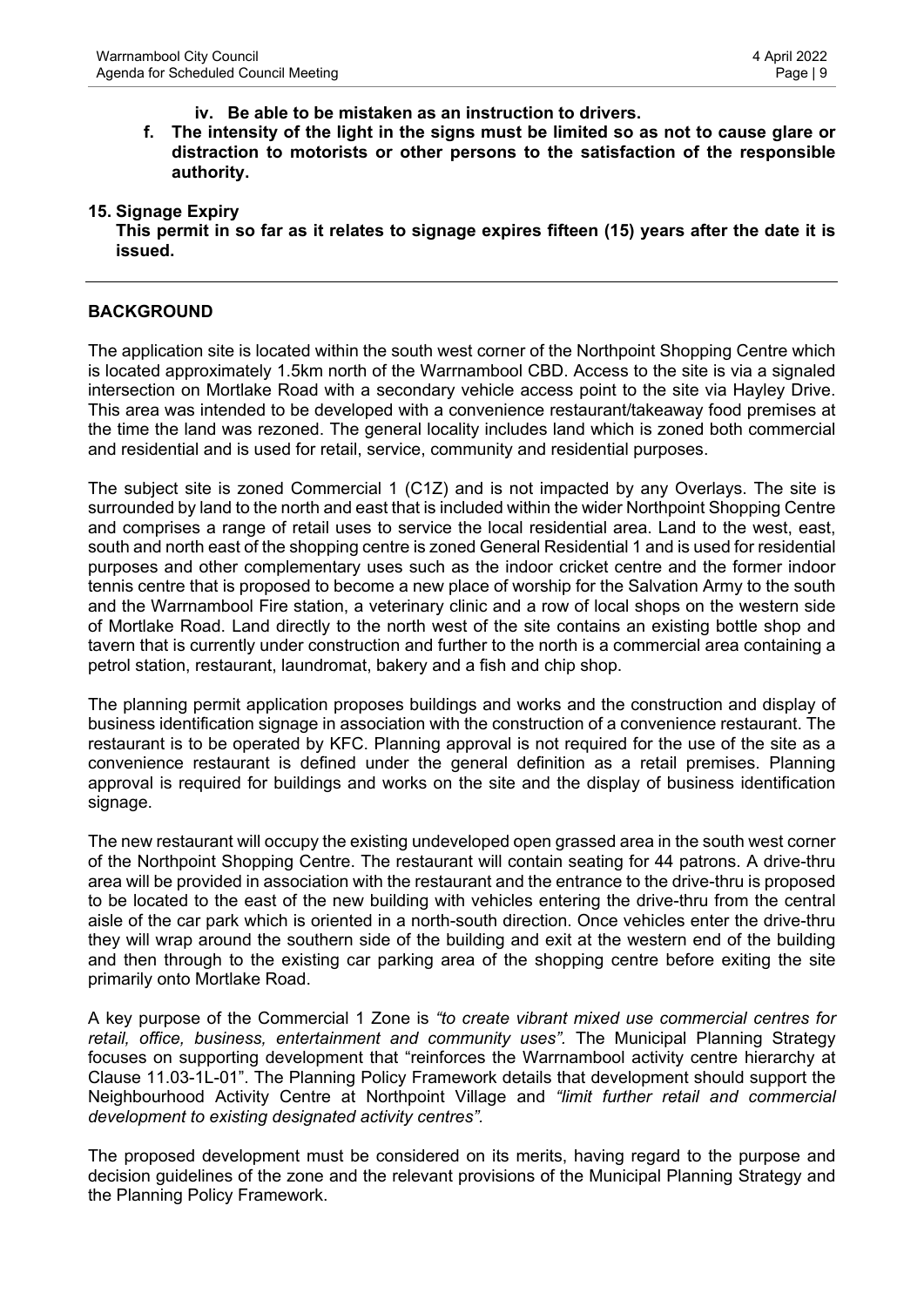#### **iv. Be able to be mistaken as an instruction to drivers.**

**f. The intensity of the light in the signs must be limited so as not to cause glare or distraction to motorists or other persons to the satisfaction of the responsible authority.**

#### **15. Signage Expiry**

**This permit in so far as it relates to signage expires fifteen (15) years after the date it is issued.**

#### **BACKGROUND**

The application site is located within the south west corner of the Northpoint Shopping Centre which is located approximately 1.5km north of the Warrnambool CBD. Access to the site is via a signaled intersection on Mortlake Road with a secondary vehicle access point to the site via Hayley Drive. This area was intended to be developed with a convenience restaurant/takeaway food premises at the time the land was rezoned. The general locality includes land which is zoned both commercial and residential and is used for retail, service, community and residential purposes.

The subject site is zoned Commercial 1 (C1Z) and is not impacted by any Overlays. The site is surrounded by land to the north and east that is included within the wider Northpoint Shopping Centre and comprises a range of retail uses to service the local residential area. Land to the west, east, south and north east of the shopping centre is zoned General Residential 1 and is used for residential purposes and other complementary uses such as the indoor cricket centre and the former indoor tennis centre that is proposed to become a new place of worship for the Salvation Army to the south and the Warrnambool Fire station, a veterinary clinic and a row of local shops on the western side of Mortlake Road. Land directly to the north west of the site contains an existing bottle shop and tavern that is currently under construction and further to the north is a commercial area containing a petrol station, restaurant, laundromat, bakery and a fish and chip shop.

The planning permit application proposes buildings and works and the construction and display of business identification signage in association with the construction of a convenience restaurant. The restaurant is to be operated by KFC. Planning approval is not required for the use of the site as a convenience restaurant is defined under the general definition as a retail premises. Planning approval is required for buildings and works on the site and the display of business identification signage.

The new restaurant will occupy the existing undeveloped open grassed area in the south west corner of the Northpoint Shopping Centre. The restaurant will contain seating for 44 patrons. A drive-thru area will be provided in association with the restaurant and the entrance to the drive-thru is proposed to be located to the east of the new building with vehicles entering the drive-thru from the central aisle of the car park which is oriented in a north-south direction. Once vehicles enter the drive-thru they will wrap around the southern side of the building and exit at the western end of the building and then through to the existing car parking area of the shopping centre before exiting the site primarily onto Mortlake Road.

A key purpose of the Commercial 1 Zone is *"to create vibrant mixed use commercial centres for retail, office, business, entertainment and community uses".* The Municipal Planning Strategy focuses on supporting development that "reinforces the Warrnambool activity centre hierarchy at Clause 11.03-1L-01". The Planning Policy Framework details that development should support the Neighbourhood Activity Centre at Northpoint Village and *"limit further retail and commercial development to existing designated activity centres".*

The proposed development must be considered on its merits, having regard to the purpose and decision guidelines of the zone and the relevant provisions of the Municipal Planning Strategy and the Planning Policy Framework.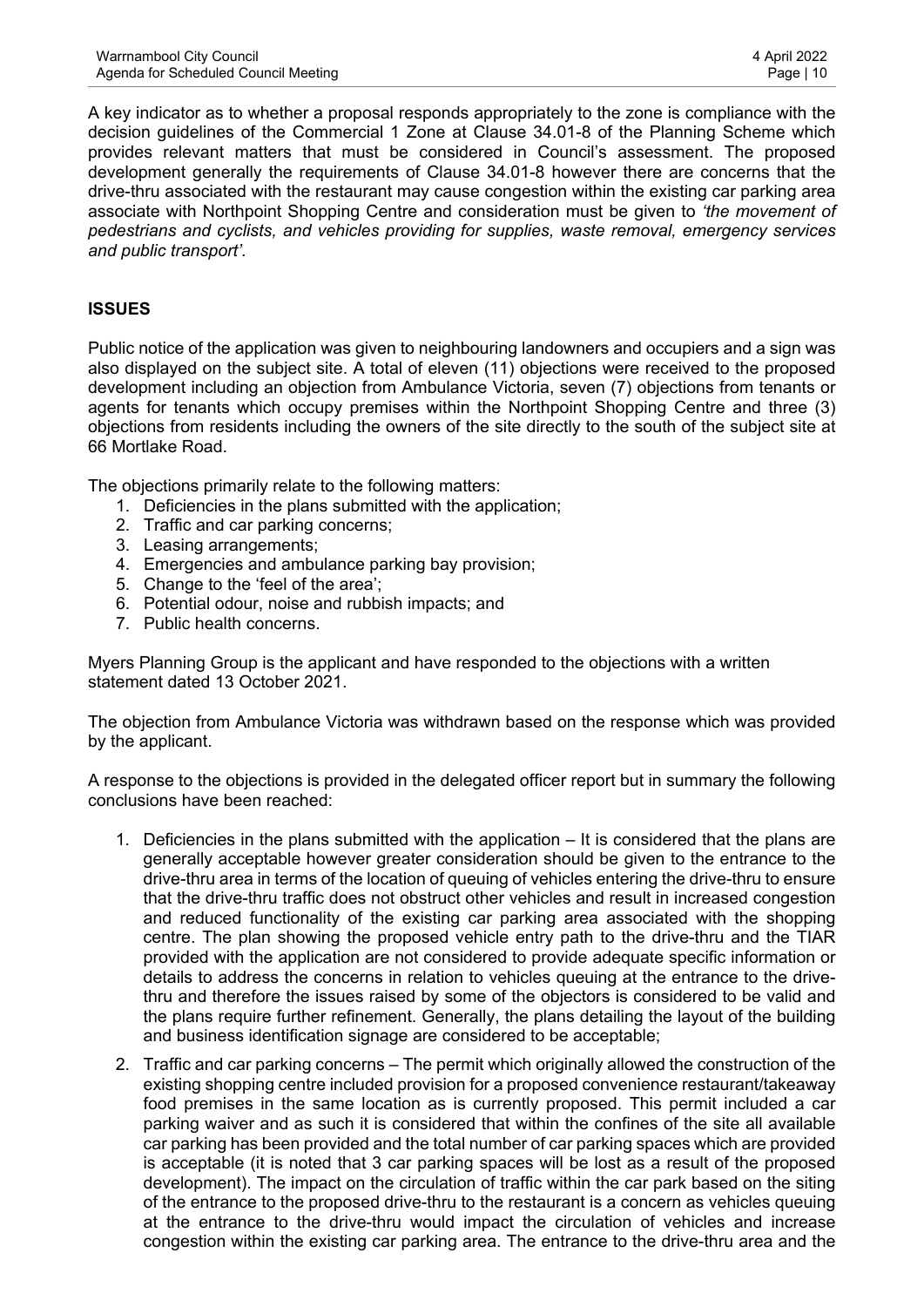A key indicator as to whether a proposal responds appropriately to the zone is compliance with the decision guidelines of the Commercial 1 Zone at Clause 34.01-8 of the Planning Scheme which provides relevant matters that must be considered in Council's assessment. The proposed development generally the requirements of Clause 34.01-8 however there are concerns that the drive-thru associated with the restaurant may cause congestion within the existing car parking area associate with Northpoint Shopping Centre and consideration must be given to *'the movement of pedestrians and cyclists, and vehicles providing for supplies, waste removal, emergency services and public transport'.*

## **ISSUES**

Public notice of the application was given to neighbouring landowners and occupiers and a sign was also displayed on the subject site. A total of eleven (11) objections were received to the proposed development including an objection from Ambulance Victoria, seven (7) objections from tenants or agents for tenants which occupy premises within the Northpoint Shopping Centre and three (3) objections from residents including the owners of the site directly to the south of the subject site at 66 Mortlake Road.

The objections primarily relate to the following matters:

- 1. Deficiencies in the plans submitted with the application;
- 2. Traffic and car parking concerns;
- 3. Leasing arrangements;
- 4. Emergencies and ambulance parking bay provision;
- 5. Change to the 'feel of the area';
- 6. Potential odour, noise and rubbish impacts; and
- 7. Public health concerns.

Myers Planning Group is the applicant and have responded to the objections with a written statement dated 13 October 2021.

The objection from Ambulance Victoria was withdrawn based on the response which was provided by the applicant.

A response to the objections is provided in the delegated officer report but in summary the following conclusions have been reached:

- 1. Deficiencies in the plans submitted with the application It is considered that the plans are generally acceptable however greater consideration should be given to the entrance to the drive-thru area in terms of the location of queuing of vehicles entering the drive-thru to ensure that the drive-thru traffic does not obstruct other vehicles and result in increased congestion and reduced functionality of the existing car parking area associated with the shopping centre. The plan showing the proposed vehicle entry path to the drive-thru and the TIAR provided with the application are not considered to provide adequate specific information or details to address the concerns in relation to vehicles queuing at the entrance to the drivethru and therefore the issues raised by some of the objectors is considered to be valid and the plans require further refinement. Generally, the plans detailing the layout of the building and business identification signage are considered to be acceptable;
- 2. Traffic and car parking concerns The permit which originally allowed the construction of the existing shopping centre included provision for a proposed convenience restaurant/takeaway food premises in the same location as is currently proposed. This permit included a car parking waiver and as such it is considered that within the confines of the site all available car parking has been provided and the total number of car parking spaces which are provided is acceptable (it is noted that 3 car parking spaces will be lost as a result of the proposed development). The impact on the circulation of traffic within the car park based on the siting of the entrance to the proposed drive-thru to the restaurant is a concern as vehicles queuing at the entrance to the drive-thru would impact the circulation of vehicles and increase congestion within the existing car parking area. The entrance to the drive-thru area and the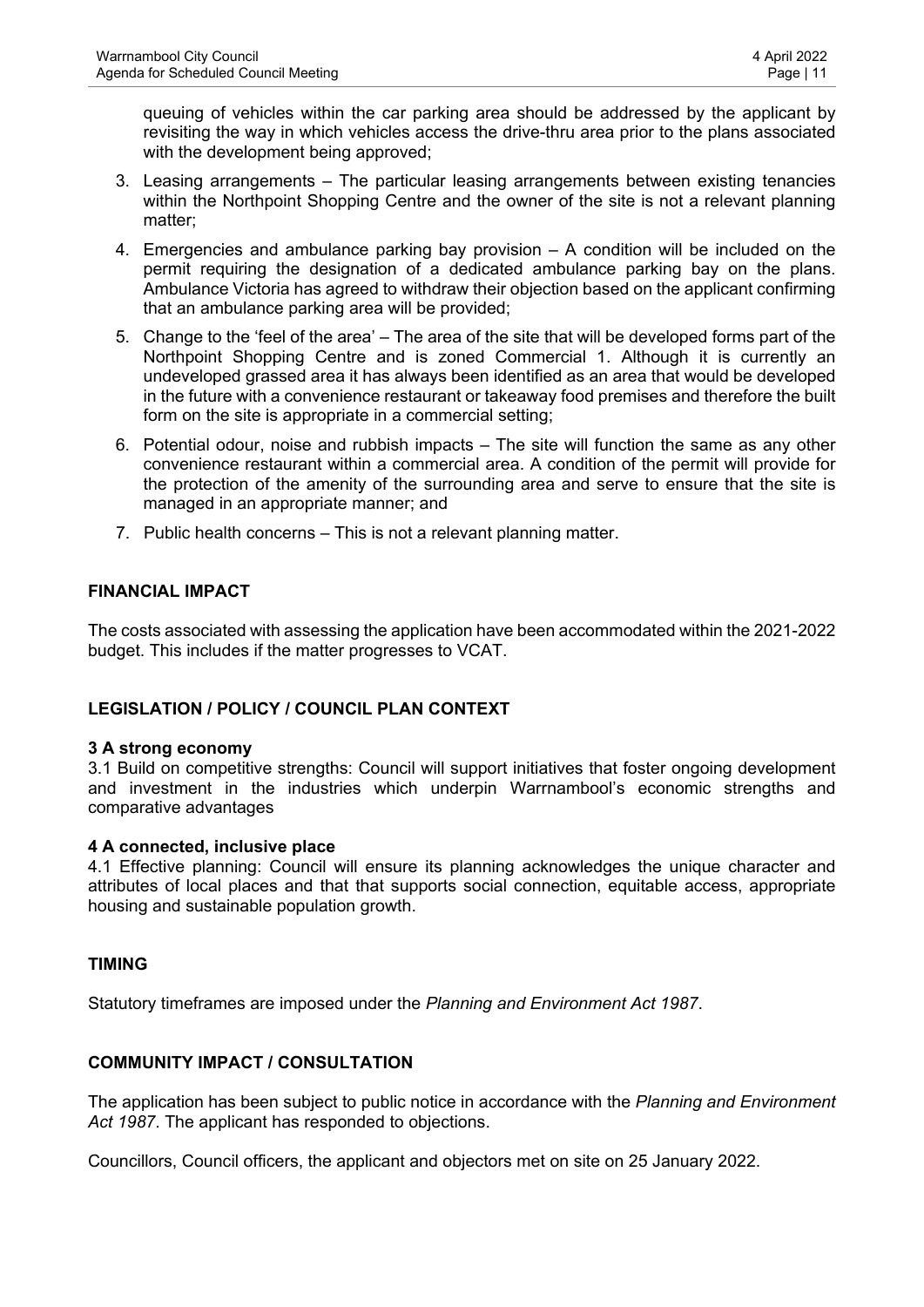queuing of vehicles within the car parking area should be addressed by the applicant by revisiting the way in which vehicles access the drive-thru area prior to the plans associated with the development being approved;

- 3. Leasing arrangements The particular leasing arrangements between existing tenancies within the Northpoint Shopping Centre and the owner of the site is not a relevant planning matter;
- 4. Emergencies and ambulance parking bay provision A condition will be included on the permit requiring the designation of a dedicated ambulance parking bay on the plans. Ambulance Victoria has agreed to withdraw their objection based on the applicant confirming that an ambulance parking area will be provided;
- 5. Change to the 'feel of the area' The area of the site that will be developed forms part of the Northpoint Shopping Centre and is zoned Commercial 1. Although it is currently an undeveloped grassed area it has always been identified as an area that would be developed in the future with a convenience restaurant or takeaway food premises and therefore the built form on the site is appropriate in a commercial setting;
- 6. Potential odour, noise and rubbish impacts The site will function the same as any other convenience restaurant within a commercial area. A condition of the permit will provide for the protection of the amenity of the surrounding area and serve to ensure that the site is managed in an appropriate manner; and
- 7. Public health concerns This is not a relevant planning matter.

## **FINANCIAL IMPACT**

The costs associated with assessing the application have been accommodated within the 2021-2022 budget. This includes if the matter progresses to VCAT.

## **LEGISLATION / POLICY / COUNCIL PLAN CONTEXT**

#### **3 A strong economy**

3.1 Build on competitive strengths: Council will support initiatives that foster ongoing development and investment in the industries which underpin Warrnambool's economic strengths and comparative advantages

#### **4 A connected, inclusive place**

4.1 Effective planning: Council will ensure its planning acknowledges the unique character and attributes of local places and that that supports social connection, equitable access, appropriate housing and sustainable population growth.

#### **TIMING**

Statutory timeframes are imposed under the *Planning and Environment Act 1987*.

## **COMMUNITY IMPACT / CONSULTATION**

The application has been subject to public notice in accordance with the *Planning and Environment Act 1987*. The applicant has responded to objections.

Councillors, Council officers, the applicant and objectors met on site on 25 January 2022.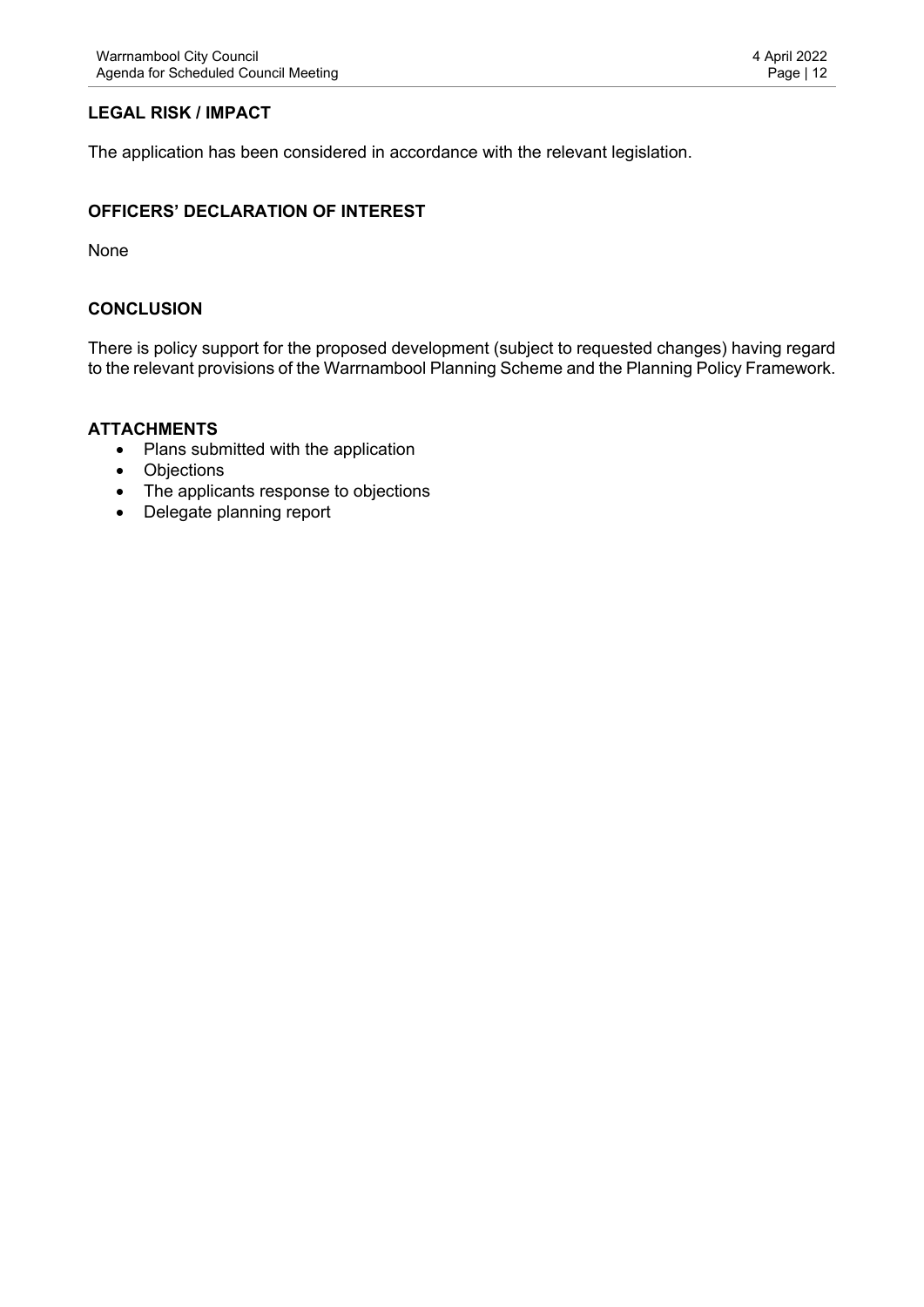# **LEGAL RISK / IMPACT**

The application has been considered in accordance with the relevant legislation.

#### **OFFICERS' DECLARATION OF INTEREST**

None

#### **CONCLUSION**

There is policy support for the proposed development (subject to requested changes) having regard to the relevant provisions of the Warrnambool Planning Scheme and the Planning Policy Framework.

#### **ATTACHMENTS**

- Plans submitted with the application
- Objections
- The applicants response to objections
- Delegate planning report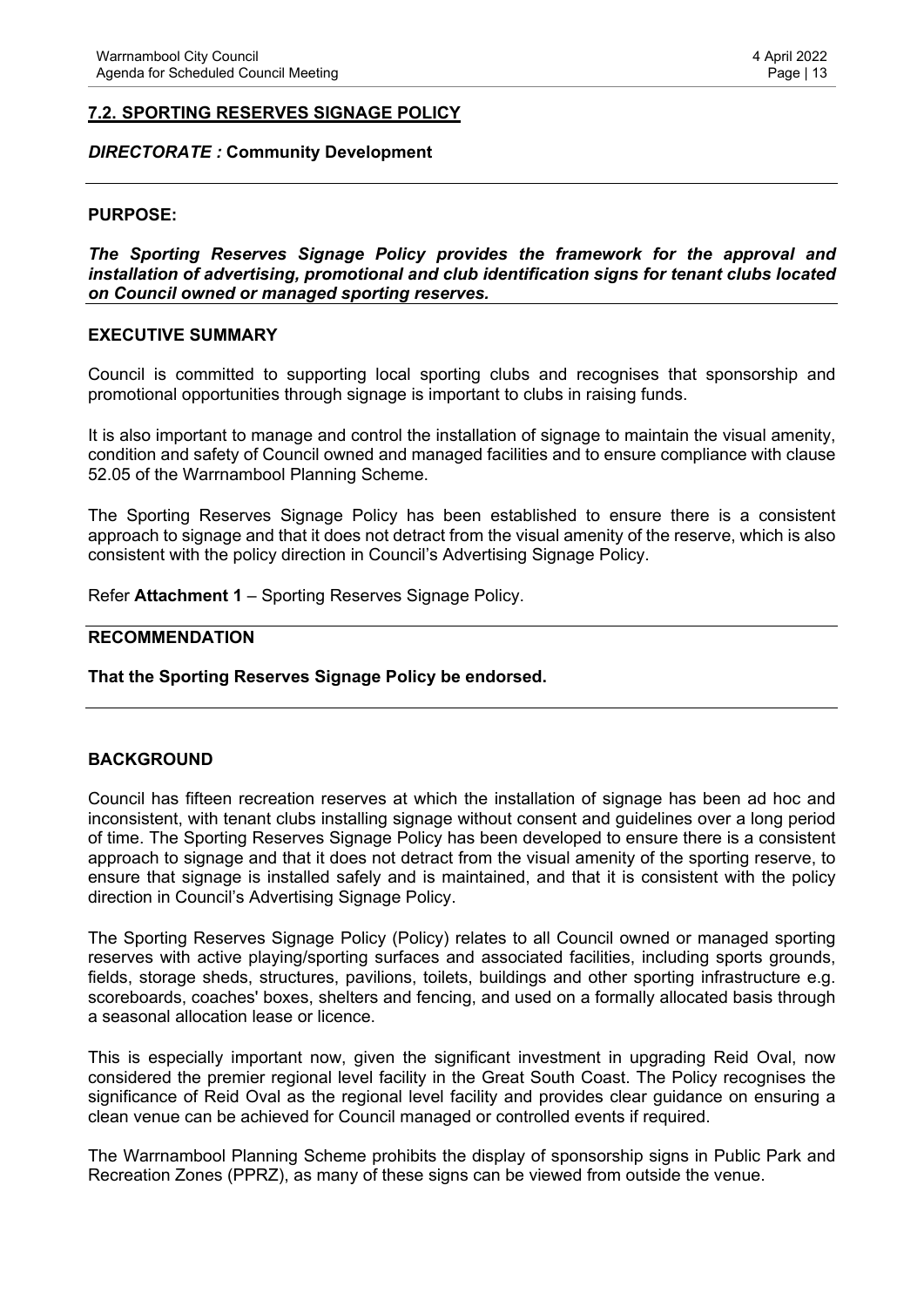#### <span id="page-12-0"></span>*DIRECTORATE :* **Community Development**

#### **PURPOSE:**

*The Sporting Reserves Signage Policy provides the framework for the approval and installation of advertising, promotional and club identification signs for tenant clubs located on Council owned or managed sporting reserves.*

#### **EXECUTIVE SUMMARY**

Council is committed to supporting local sporting clubs and recognises that sponsorship and promotional opportunities through signage is important to clubs in raising funds.

It is also important to manage and control the installation of signage to maintain the visual amenity, condition and safety of Council owned and managed facilities and to ensure compliance with clause 52.05 of the Warrnambool Planning Scheme.

The Sporting Reserves Signage Policy has been established to ensure there is a consistent approach to signage and that it does not detract from the visual amenity of the reserve, which is also consistent with the policy direction in Council's Advertising Signage Policy.

Refer **Attachment 1** – Sporting Reserves Signage Policy.

#### **RECOMMENDATION**

#### **That the Sporting Reserves Signage Policy be endorsed.**

#### **BACKGROUND**

Council has fifteen recreation reserves at which the installation of signage has been ad hoc and inconsistent, with tenant clubs installing signage without consent and guidelines over a long period of time. The Sporting Reserves Signage Policy has been developed to ensure there is a consistent approach to signage and that it does not detract from the visual amenity of the sporting reserve, to ensure that signage is installed safely and is maintained, and that it is consistent with the policy direction in Council's Advertising Signage Policy.

The Sporting Reserves Signage Policy (Policy) relates to all Council owned or managed sporting reserves with active playing/sporting surfaces and associated facilities, including sports grounds, fields, storage sheds, structures, pavilions, toilets, buildings and other sporting infrastructure e.g. scoreboards, coaches' boxes, shelters and fencing, and used on a formally allocated basis through a seasonal allocation lease or licence.

This is especially important now, given the significant investment in upgrading Reid Oval, now considered the premier regional level facility in the Great South Coast. The Policy recognises the significance of Reid Oval as the regional level facility and provides clear guidance on ensuring a clean venue can be achieved for Council managed or controlled events if required.

The Warrnambool Planning Scheme prohibits the display of sponsorship signs in Public Park and Recreation Zones (PPRZ), as many of these signs can be viewed from outside the venue.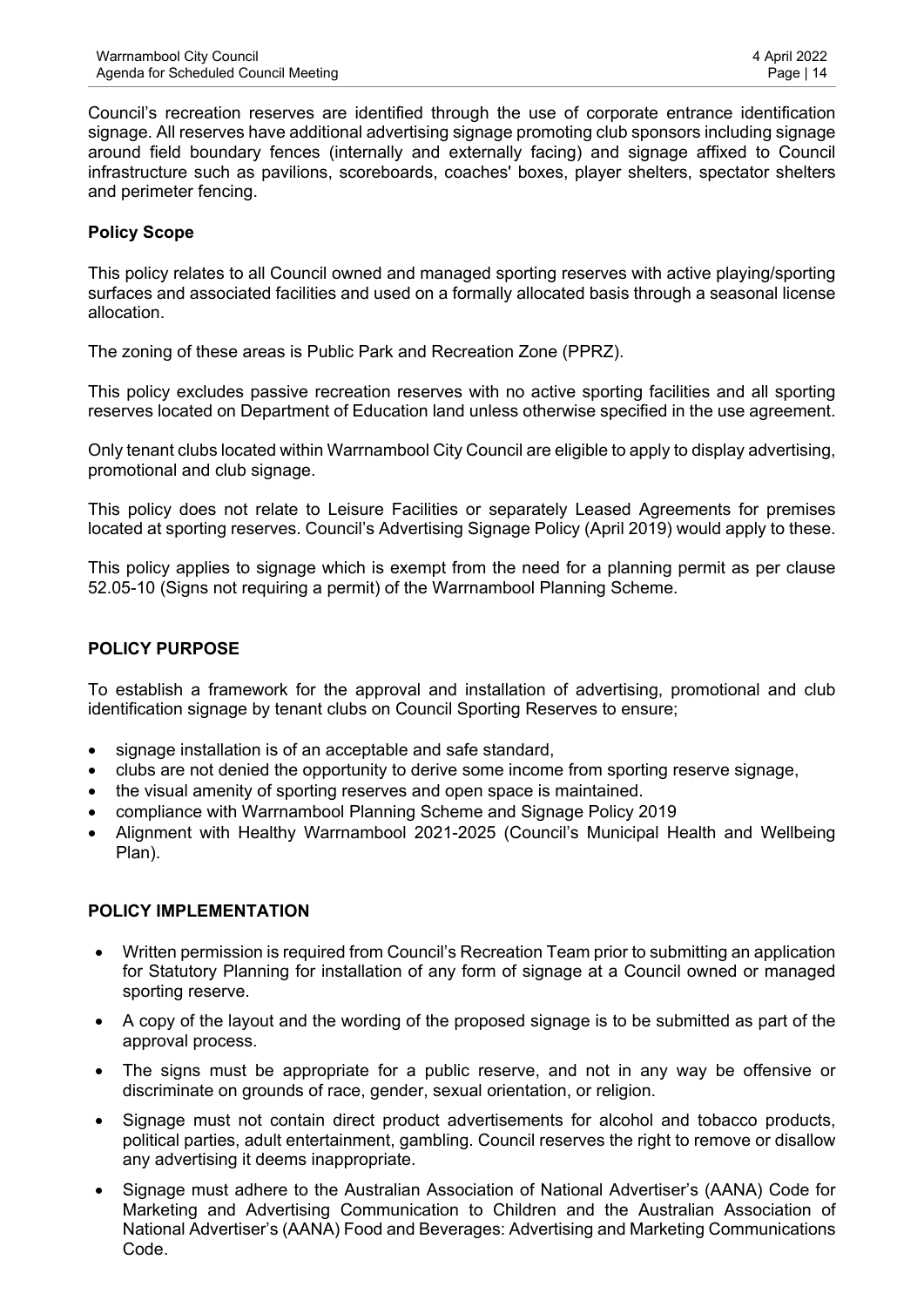Council's recreation reserves are identified through the use of corporate entrance identification signage. All reserves have additional advertising signage promoting club sponsors including signage around field boundary fences (internally and externally facing) and signage affixed to Council infrastructure such as pavilions, scoreboards, coaches' boxes, player shelters, spectator shelters and perimeter fencing.

#### **Policy Scope**

This policy relates to all Council owned and managed sporting reserves with active playing/sporting surfaces and associated facilities and used on a formally allocated basis through a seasonal license allocation.

The zoning of these areas is Public Park and Recreation Zone (PPRZ).

This policy excludes passive recreation reserves with no active sporting facilities and all sporting reserves located on Department of Education land unless otherwise specified in the use agreement.

Only tenant clubs located within Warrnambool City Council are eligible to apply to display advertising, promotional and club signage.

This policy does not relate to Leisure Facilities or separately Leased Agreements for premises located at sporting reserves. Council's Advertising Signage Policy (April 2019) would apply to these.

This policy applies to signage which is exempt from the need for a planning permit as per clause 52.05-10 (Signs not requiring a permit) of the Warrnambool Planning Scheme.

#### **POLICY PURPOSE**

To establish a framework for the approval and installation of advertising, promotional and club identification signage by tenant clubs on Council Sporting Reserves to ensure;

- signage installation is of an acceptable and safe standard,
- clubs are not denied the opportunity to derive some income from sporting reserve signage,
- the visual amenity of sporting reserves and open space is maintained.
- compliance with Warrnambool Planning Scheme and Signage Policy 2019
- Alignment with Healthy Warrnambool 2021-2025 (Council's Municipal Health and Wellbeing Plan).

#### **POLICY IMPLEMENTATION**

- Written permission is required from Council's Recreation Team prior to submitting an application for Statutory Planning for installation of any form of signage at a Council owned or managed sporting reserve.
- A copy of the layout and the wording of the proposed signage is to be submitted as part of the approval process.
- The signs must be appropriate for a public reserve, and not in any way be offensive or discriminate on grounds of race, gender, sexual orientation, or religion.
- Signage must not contain direct product advertisements for alcohol and tobacco products, political parties, adult entertainment, gambling. Council reserves the right to remove or disallow any advertising it deems inappropriate.
- Signage must adhere to the Australian Association of National Advertiser's (AANA) Code for Marketing and Advertising Communication to Children and the Australian Association of National Advertiser's (AANA) Food and Beverages: Advertising and Marketing Communications Code.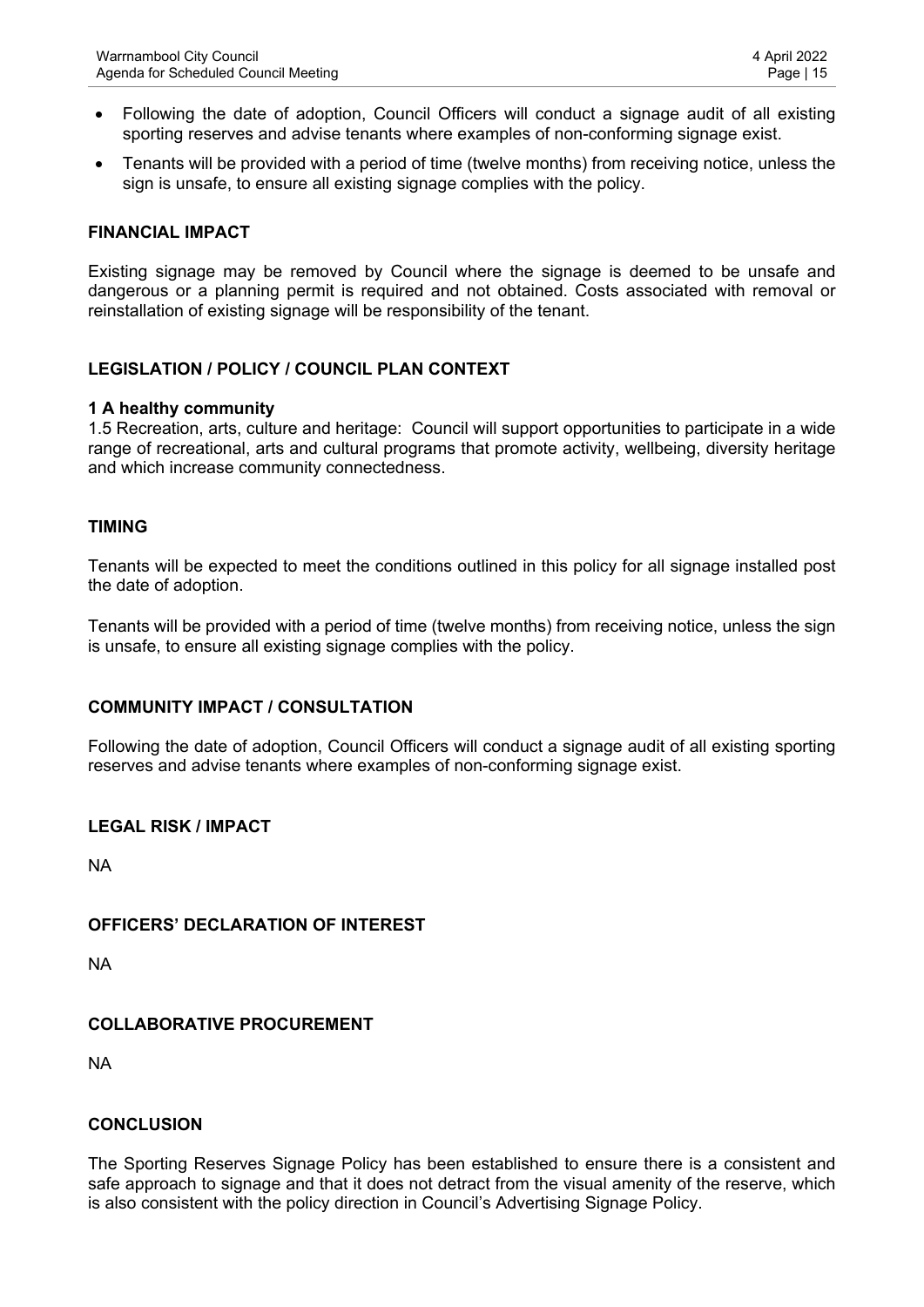- Following the date of adoption, Council Officers will conduct a signage audit of all existing sporting reserves and advise tenants where examples of non-conforming signage exist.
- Tenants will be provided with a period of time (twelve months) from receiving notice, unless the sign is unsafe, to ensure all existing signage complies with the policy.

#### **FINANCIAL IMPACT**

Existing signage may be removed by Council where the signage is deemed to be unsafe and dangerous or a planning permit is required and not obtained. Costs associated with removal or reinstallation of existing signage will be responsibility of the tenant.

#### **LEGISLATION / POLICY / COUNCIL PLAN CONTEXT**

#### **1 A healthy community**

1.5 Recreation, arts, culture and heritage: Council will support opportunities to participate in a wide range of recreational, arts and cultural programs that promote activity, wellbeing, diversity heritage and which increase community connectedness.

#### **TIMING**

Tenants will be expected to meet the conditions outlined in this policy for all signage installed post the date of adoption.

Tenants will be provided with a period of time (twelve months) from receiving notice, unless the sign is unsafe, to ensure all existing signage complies with the policy.

#### **COMMUNITY IMPACT / CONSULTATION**

Following the date of adoption, Council Officers will conduct a signage audit of all existing sporting reserves and advise tenants where examples of non-conforming signage exist.

#### **LEGAL RISK / IMPACT**

NA

#### **OFFICERS' DECLARATION OF INTEREST**

NA

#### **COLLABORATIVE PROCUREMENT**

NA

#### **CONCLUSION**

The Sporting Reserves Signage Policy has been established to ensure there is a consistent and safe approach to signage and that it does not detract from the visual amenity of the reserve, which is also consistent with the policy direction in Council's Advertising Signage Policy.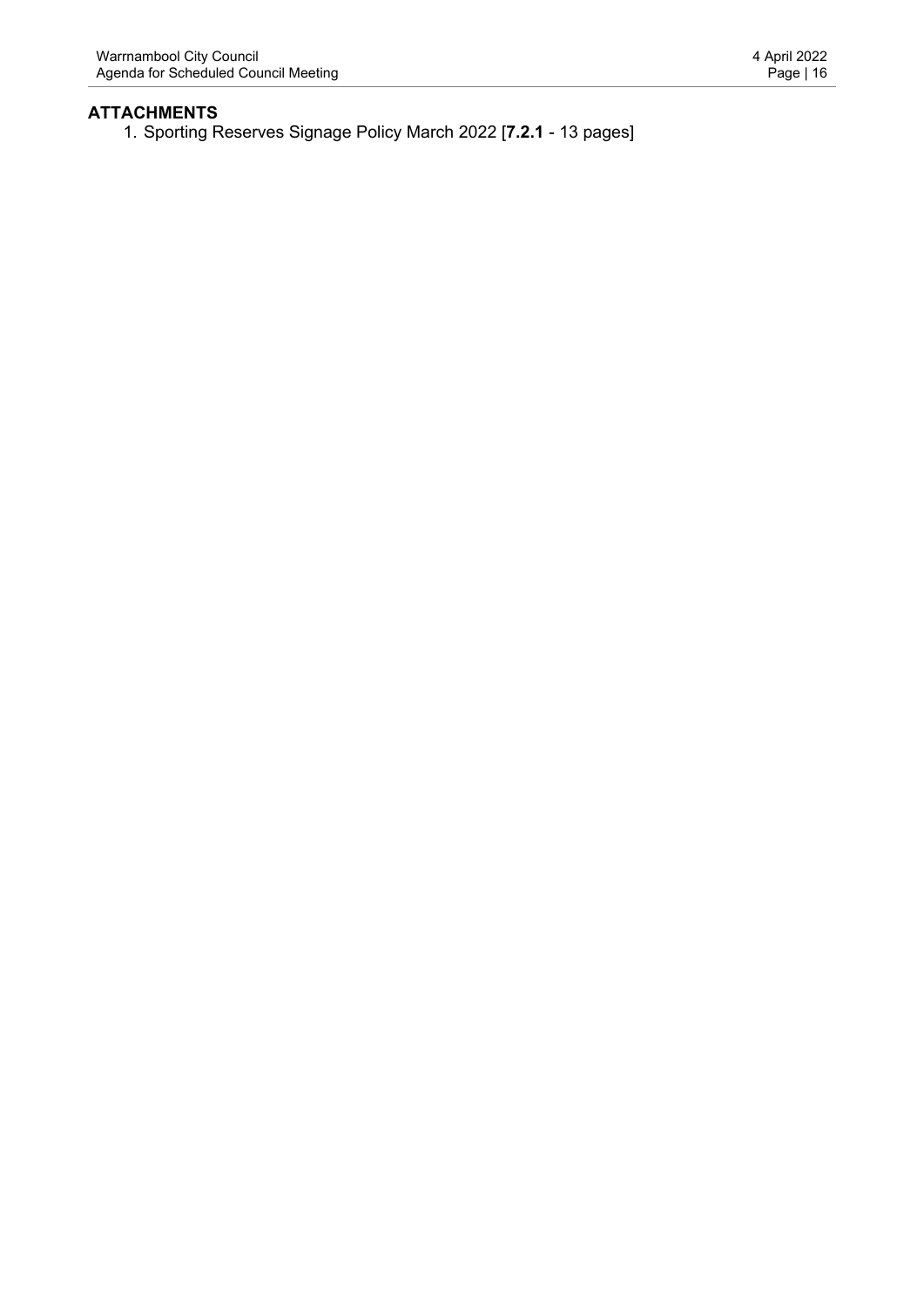# **ATTACHMENTS**

1. Sporting Reserves Signage Policy March 2022 [**7.2.1** - 13 pages]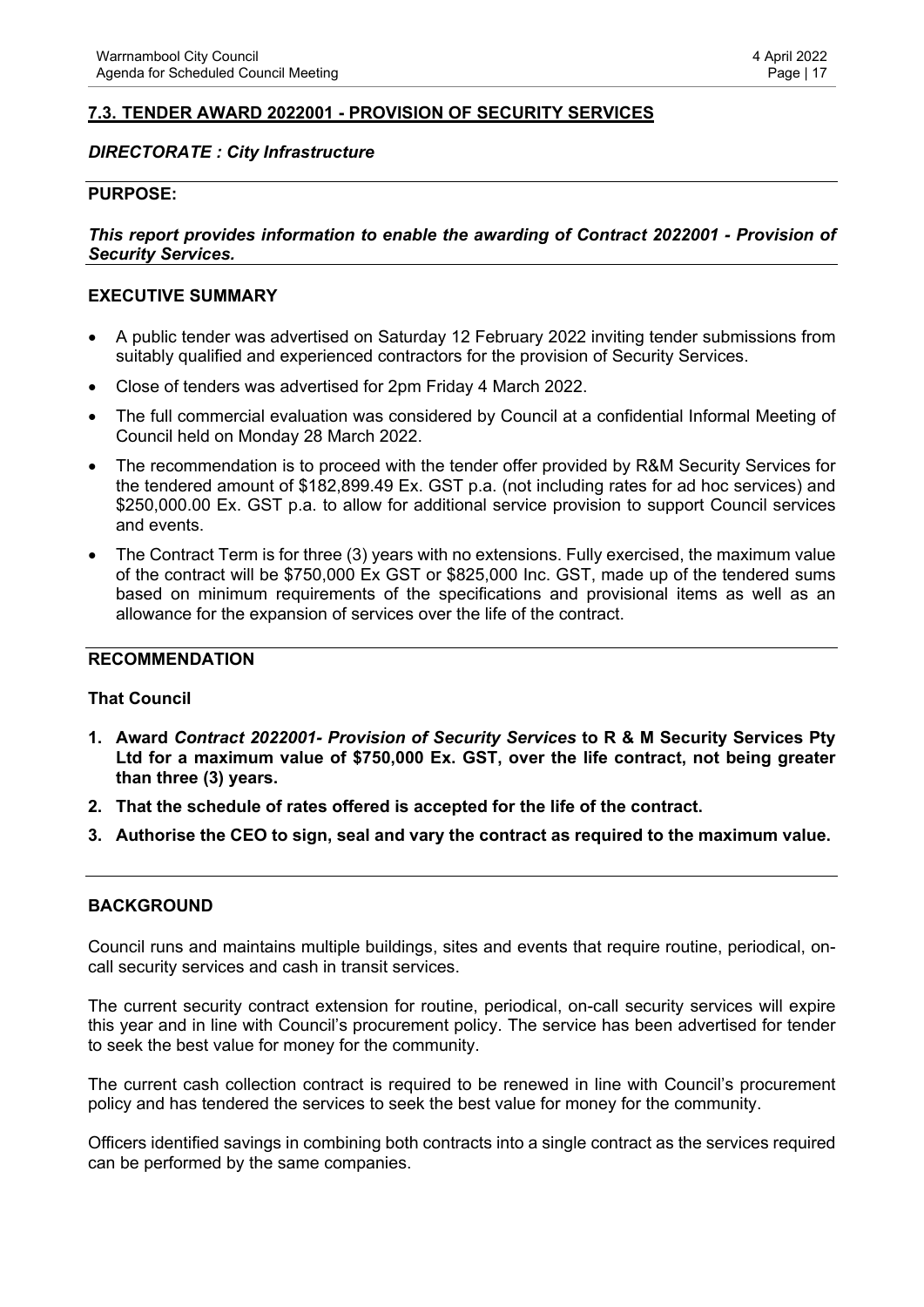#### <span id="page-16-0"></span>**7.3. TENDER AWARD 2022001 - PROVISION OF SECURITY SERVICES**

#### *DIRECTORATE : City Infrastructure*

#### **PURPOSE:**

#### *This report provides information to enable the awarding of Contract 2022001 - Provision of Security Services.*

#### **EXECUTIVE SUMMARY**

- A public tender was advertised on Saturday 12 February 2022 inviting tender submissions from suitably qualified and experienced contractors for the provision of Security Services.
- Close of tenders was advertised for 2pm Friday 4 March 2022.
- The full commercial evaluation was considered by Council at a confidential Informal Meeting of Council held on Monday 28 March 2022.
- The recommendation is to proceed with the tender offer provided by R&M Security Services for the tendered amount of \$182,899.49 Ex. GST p.a. (not including rates for ad hoc services) and \$250,000.00 Ex. GST p.a. to allow for additional service provision to support Council services and events.
- The Contract Term is for three (3) years with no extensions. Fully exercised, the maximum value of the contract will be \$750,000 Ex GST or \$825,000 Inc. GST, made up of the tendered sums based on minimum requirements of the specifications and provisional items as well as an allowance for the expansion of services over the life of the contract.

#### **RECOMMENDATION**

#### **That Council**

- **1. Award** *Contract 2022001- Provision of Security Services* **to R & M Security Services Pty Ltd for a maximum value of \$750,000 Ex. GST, over the life contract, not being greater than three (3) years.**
- **2. That the schedule of rates offered is accepted for the life of the contract.**
- **3. Authorise the CEO to sign, seal and vary the contract as required to the maximum value.**

#### **BACKGROUND**

Council runs and maintains multiple buildings, sites and events that require routine, periodical, oncall security services and cash in transit services.

The current security contract extension for routine, periodical, on-call security services will expire this year and in line with Council's procurement policy. The service has been advertised for tender to seek the best value for money for the community.

The current cash collection contract is required to be renewed in line with Council's procurement policy and has tendered the services to seek the best value for money for the community.

Officers identified savings in combining both contracts into a single contract as the services required can be performed by the same companies.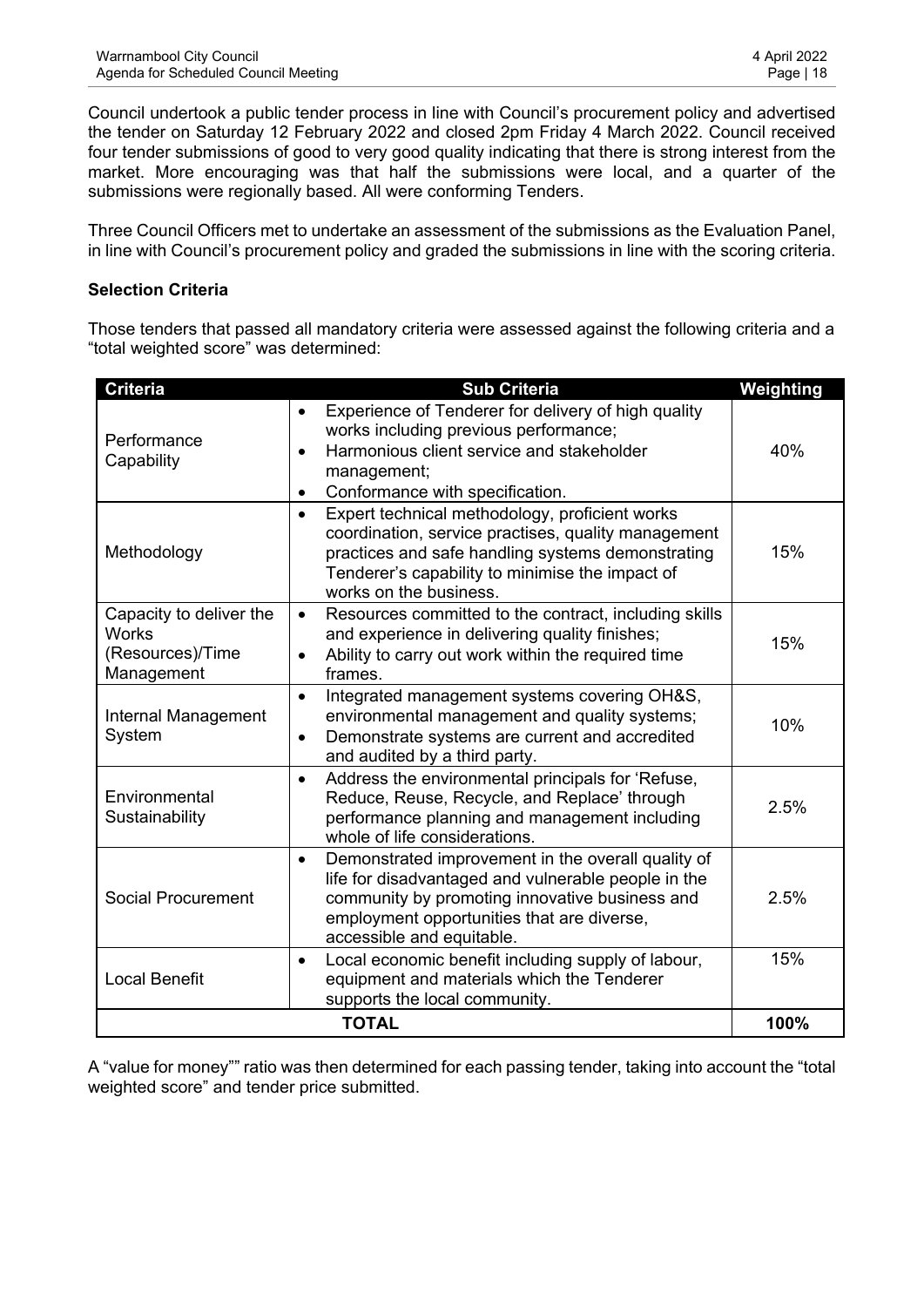Council undertook a public tender process in line with Council's procurement policy and advertised the tender on Saturday 12 February 2022 and closed 2pm Friday 4 March 2022. Council received four tender submissions of good to very good quality indicating that there is strong interest from the market. More encouraging was that half the submissions were local, and a quarter of the submissions were regionally based. All were conforming Tenders.

Three Council Officers met to undertake an assessment of the submissions as the Evaluation Panel, in line with Council's procurement policy and graded the submissions in line with the scoring criteria.

## **Selection Criteria**

Those tenders that passed all mandatory criteria were assessed against the following criteria and a "total weighted score" was determined:

| <b>Criteria</b>                                                           | <b>Sub Criteria</b>                                                                                                                                                                                                                                  | Weighting |
|---------------------------------------------------------------------------|------------------------------------------------------------------------------------------------------------------------------------------------------------------------------------------------------------------------------------------------------|-----------|
| Performance<br>Capability                                                 | Experience of Tenderer for delivery of high quality<br>$\bullet$<br>works including previous performance;<br>Harmonious client service and stakeholder<br>$\bullet$<br>management;<br>Conformance with specification.<br>$\bullet$                   | 40%       |
| Methodology                                                               | Expert technical methodology, proficient works<br>$\bullet$<br>coordination, service practises, quality management<br>practices and safe handling systems demonstrating<br>Tenderer's capability to minimise the impact of<br>works on the business. | 15%       |
| Capacity to deliver the<br><b>Works</b><br>(Resources)/Time<br>Management | 15%                                                                                                                                                                                                                                                  |           |
| Internal Management<br>System                                             | Integrated management systems covering OH&S,<br>$\bullet$<br>environmental management and quality systems;<br>Demonstrate systems are current and accredited<br>$\bullet$<br>and audited by a third party.                                           | 10%       |
| Environmental<br>Sustainability                                           | Address the environmental principals for 'Refuse,<br>$\bullet$<br>Reduce, Reuse, Recycle, and Replace' through<br>performance planning and management including<br>whole of life considerations.                                                     | 2.5%      |
| <b>Social Procurement</b>                                                 | Demonstrated improvement in the overall quality of<br>$\bullet$<br>life for disadvantaged and vulnerable people in the<br>community by promoting innovative business and<br>employment opportunities that are diverse,<br>accessible and equitable.  | 2.5%      |
| <b>Local Benefit</b>                                                      | Local economic benefit including supply of labour,<br>$\bullet$<br>equipment and materials which the Tenderer<br>supports the local community.                                                                                                       | 15%       |
|                                                                           | <b>TOTAL</b>                                                                                                                                                                                                                                         | 100%      |

A "value for money"" ratio was then determined for each passing tender, taking into account the "total weighted score" and tender price submitted.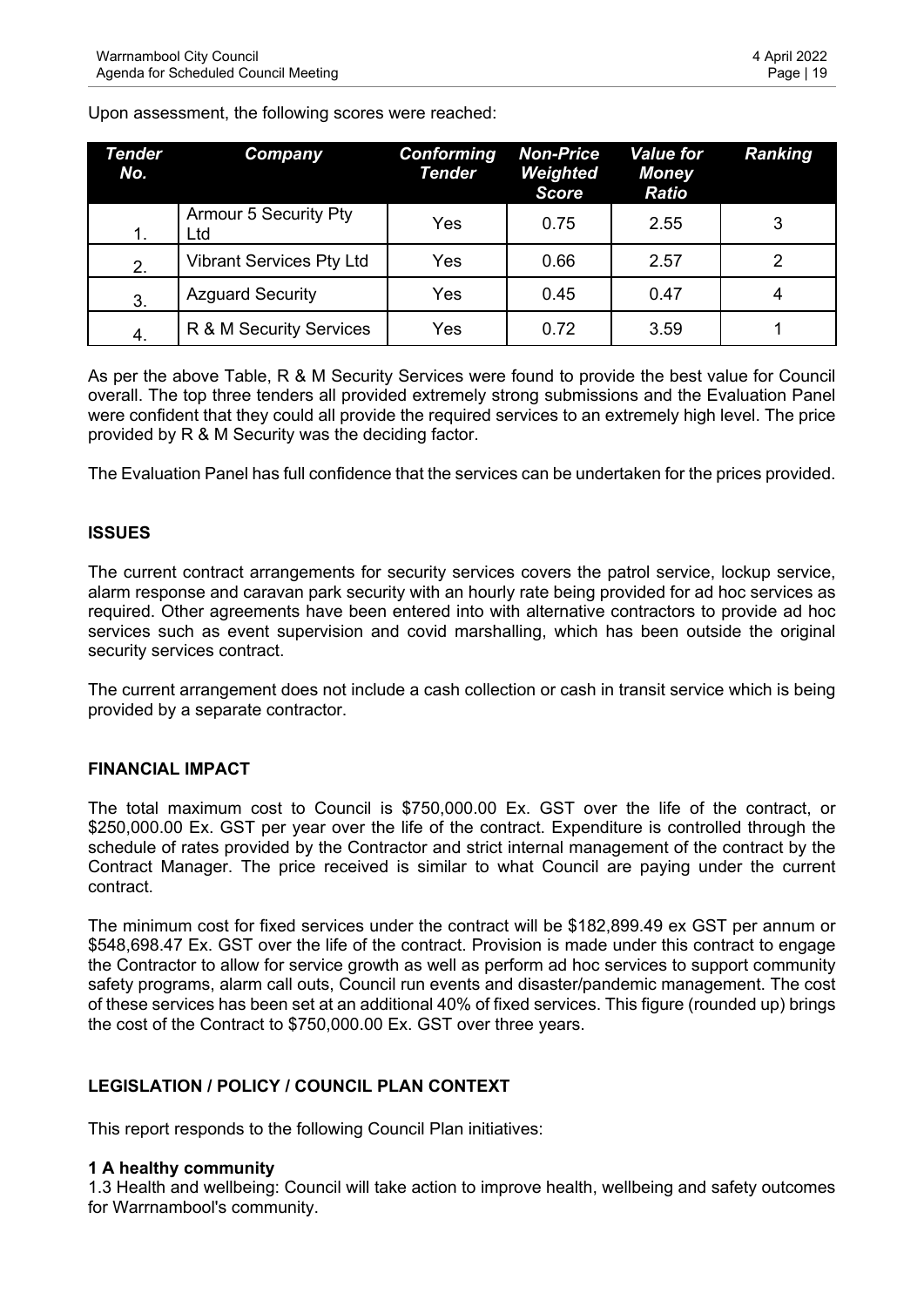Upon assessment, the following scores were reached:

| Tender<br>No. | Company                             | <b>Conforming</b><br><b>Tender</b> | <b>Non-Price</b><br>Weighted<br><b>Score</b> | <b>Value for</b><br><b>Money</b><br><b>Ratio</b> | <b>Ranking</b> |
|---------------|-------------------------------------|------------------------------------|----------------------------------------------|--------------------------------------------------|----------------|
| $\mathbf 1$ . | <b>Armour 5 Security Pty</b><br>Ltd | Yes                                | 0.75                                         | 2.55                                             | 3              |
| 2.            | <b>Vibrant Services Pty Ltd</b>     | Yes                                | 0.66                                         | 2.57                                             |                |
| 3.            | <b>Azguard Security</b>             | Yes                                | 0.45                                         | 0.47                                             |                |
| 4.            | R & M Security Services             | Yes                                | 0.72                                         | 3.59                                             |                |

As per the above Table, R & M Security Services were found to provide the best value for Council overall. The top three tenders all provided extremely strong submissions and the Evaluation Panel were confident that they could all provide the required services to an extremely high level. The price provided by R & M Security was the deciding factor.

The Evaluation Panel has full confidence that the services can be undertaken for the prices provided.

## **ISSUES**

The current contract arrangements for security services covers the patrol service, lockup service, alarm response and caravan park security with an hourly rate being provided for ad hoc services as required. Other agreements have been entered into with alternative contractors to provide ad hoc services such as event supervision and covid marshalling, which has been outside the original security services contract.

The current arrangement does not include a cash collection or cash in transit service which is being provided by a separate contractor.

#### **FINANCIAL IMPACT**

The total maximum cost to Council is \$750,000.00 Ex. GST over the life of the contract, or \$250,000.00 Ex. GST per year over the life of the contract. Expenditure is controlled through the schedule of rates provided by the Contractor and strict internal management of the contract by the Contract Manager. The price received is similar to what Council are paying under the current contract.

The minimum cost for fixed services under the contract will be \$182,899.49 ex GST per annum or \$548,698.47 Ex. GST over the life of the contract. Provision is made under this contract to engage the Contractor to allow for service growth as well as perform ad hoc services to support community safety programs, alarm call outs, Council run events and disaster/pandemic management. The cost of these services has been set at an additional 40% of fixed services. This figure (rounded up) brings the cost of the Contract to \$750,000.00 Ex. GST over three years.

## **LEGISLATION / POLICY / COUNCIL PLAN CONTEXT**

This report responds to the following Council Plan initiatives:

#### **1 A healthy community**

1.3 Health and wellbeing: Council will take action to improve health, wellbeing and safety outcomes for Warrnambool's community.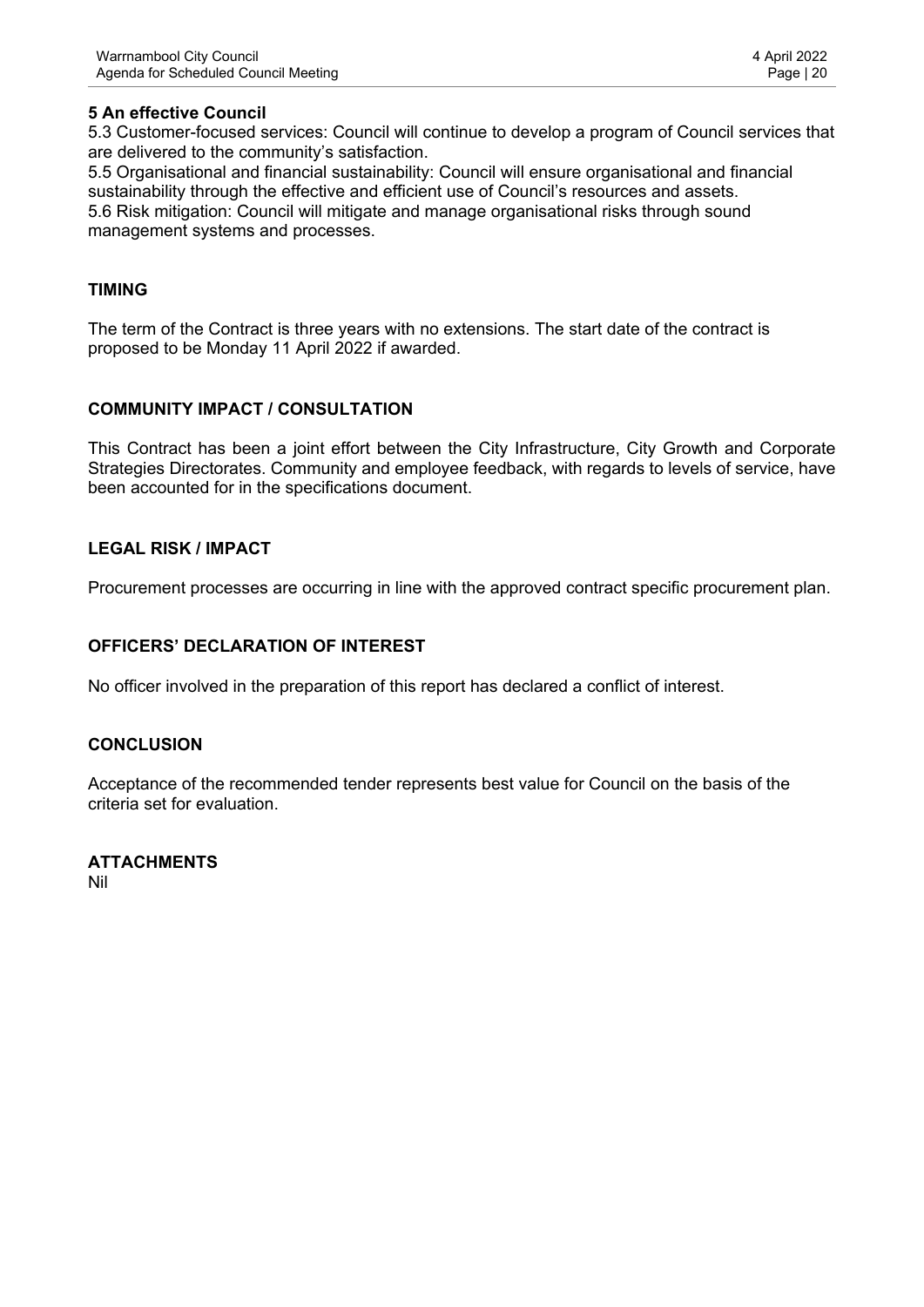5.3 Customer-focused services: Council will continue to develop a program of Council services that are delivered to the community's satisfaction.

5.5 Organisational and financial sustainability: Council will ensure organisational and financial sustainability through the effective and efficient use of Council's resources and assets. 5.6 Risk mitigation: Council will mitigate and manage organisational risks through sound management systems and processes.

## **TIMING**

The term of the Contract is three years with no extensions. The start date of the contract is proposed to be Monday 11 April 2022 if awarded.

## **COMMUNITY IMPACT / CONSULTATION**

This Contract has been a joint effort between the City Infrastructure, City Growth and Corporate Strategies Directorates. Community and employee feedback, with regards to levels of service, have been accounted for in the specifications document.

## **LEGAL RISK / IMPACT**

Procurement processes are occurring in line with the approved contract specific procurement plan.

## **OFFICERS' DECLARATION OF INTEREST**

No officer involved in the preparation of this report has declared a conflict of interest.

#### **CONCLUSION**

Acceptance of the recommended tender represents best value for Council on the basis of the criteria set for evaluation.

#### **ATTACHMENTS** Nil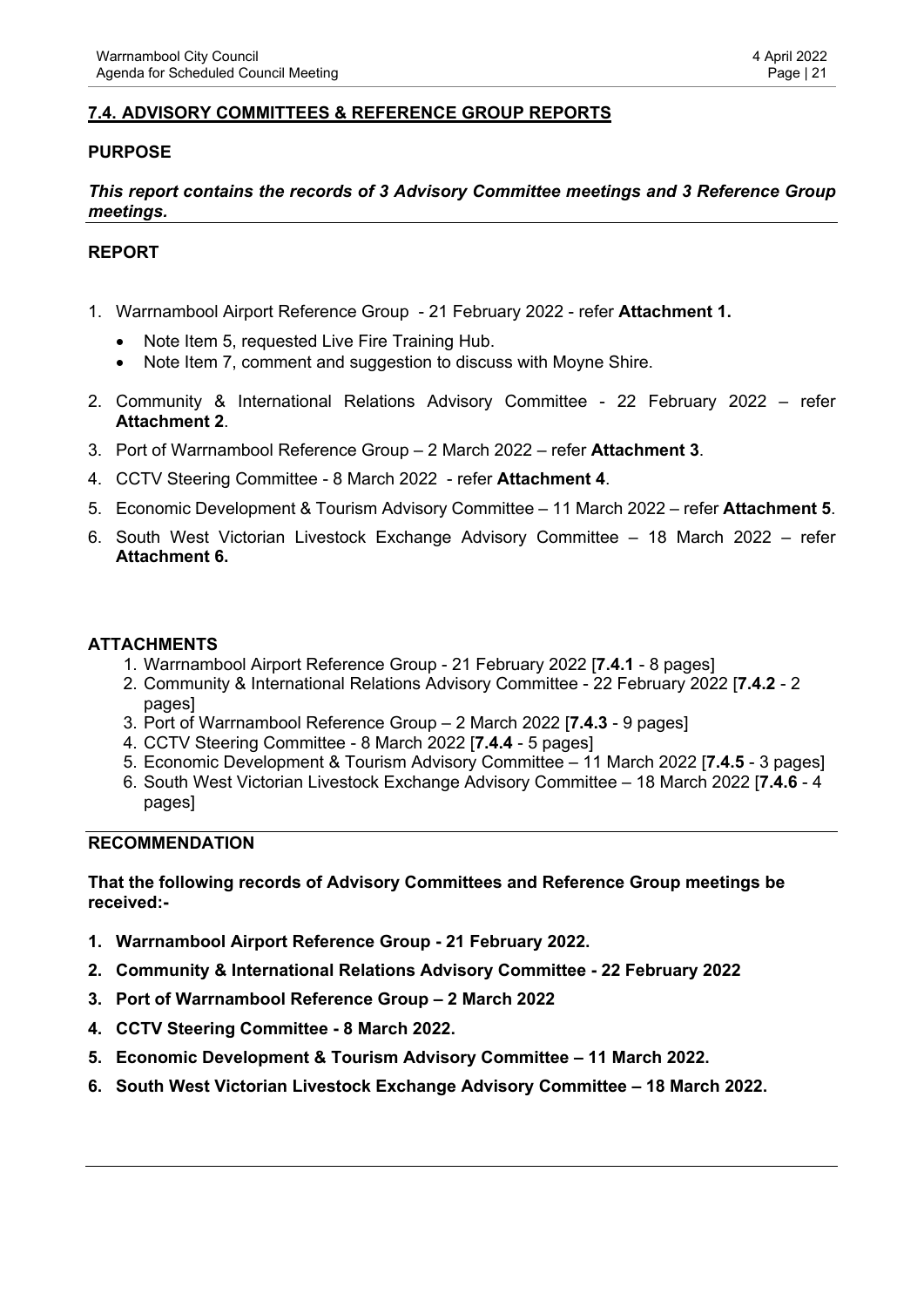# <span id="page-20-0"></span>**7.4. ADVISORY COMMITTEES & REFERENCE GROUP REPORTS**

# **PURPOSE**

## *This report contains the records of 3 Advisory Committee meetings and 3 Reference Group meetings.*

## **REPORT**

- 1. Warrnambool Airport Reference Group 21 February 2022 refer **Attachment 1.**
	- Note Item 5, requested Live Fire Training Hub.
	- Note Item 7, comment and suggestion to discuss with Moyne Shire.
- 2. Community & International Relations Advisory Committee 22 February 2022 refer **Attachment 2**.
- 3. Port of Warrnambool Reference Group 2 March 2022 refer **Attachment 3**.
- 4. CCTV Steering Committee 8 March 2022 refer **Attachment 4**.
- 5. Economic Development & Tourism Advisory Committee 11 March 2022 refer **Attachment 5**.
- 6. South West Victorian Livestock Exchange Advisory Committee 18 March 2022 refer **Attachment 6.**

#### **ATTACHMENTS**

- 1. Warrnambool Airport Reference Group 21 February 2022 [**7.4.1** 8 pages]
- 2. Community & International Relations Advisory Committee 22 February 2022 [**7.4.2** 2 pages]
- 3. Port of Warrnambool Reference Group 2 March 2022 [**7.4.3** 9 pages]
- 4. CCTV Steering Committee 8 March 2022 [**7.4.4** 5 pages]
- 5. Economic Development & Tourism Advisory Committee 11 March 2022 [**7.4.5** 3 pages]
- 6. South West Victorian Livestock Exchange Advisory Committee 18 March 2022 [**7.4.6** 4 pages]

#### **RECOMMENDATION**

**That the following records of Advisory Committees and Reference Group meetings be received:-**

- **1. Warrnambool Airport Reference Group 21 February 2022.**
- **2. Community & International Relations Advisory Committee 22 February 2022**
- **3. Port of Warrnambool Reference Group 2 March 2022**
- **4. CCTV Steering Committee 8 March 2022.**
- **5. Economic Development & Tourism Advisory Committee 11 March 2022.**
- **6. South West Victorian Livestock Exchange Advisory Committee 18 March 2022.**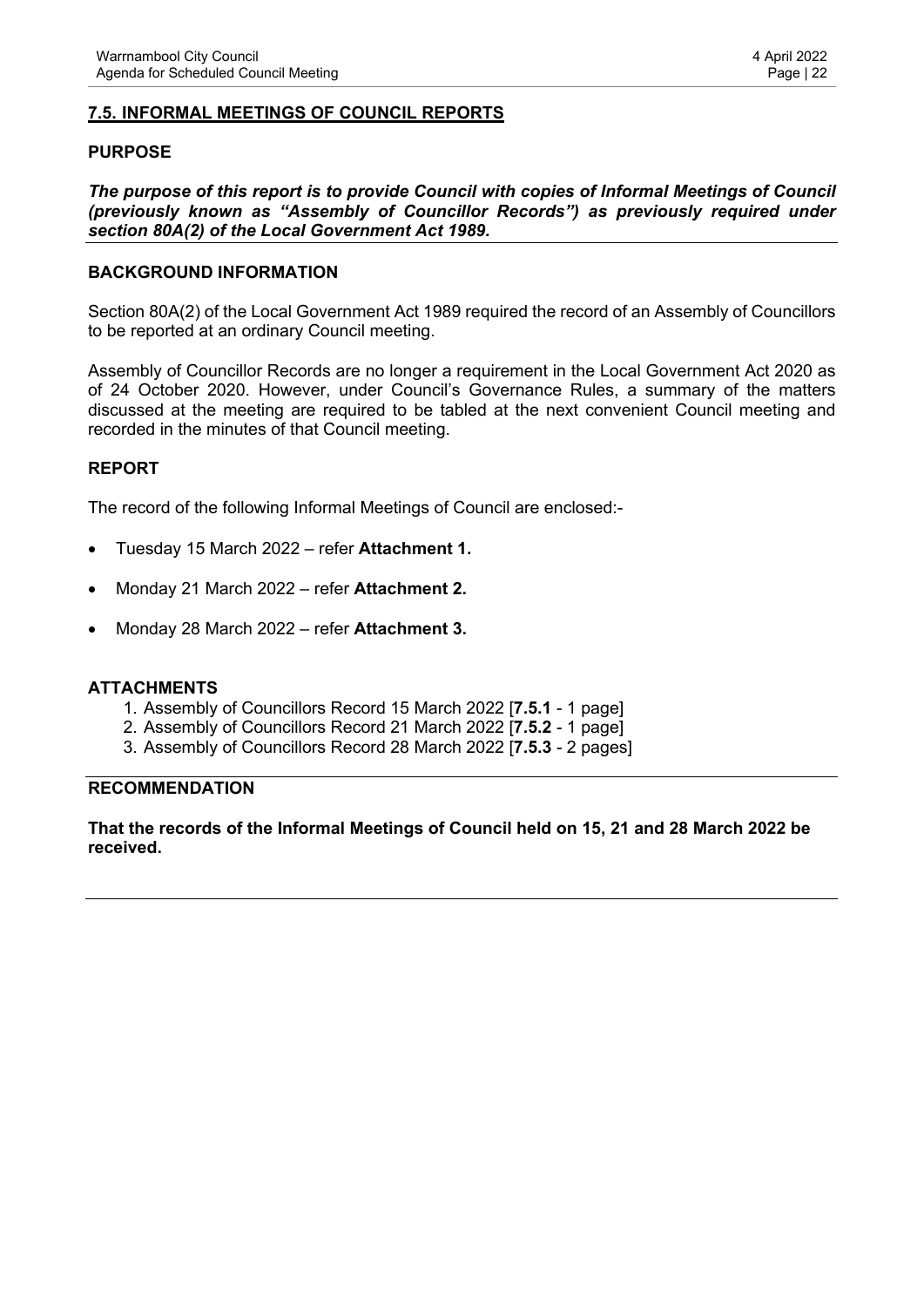#### <span id="page-21-0"></span>**7.5. INFORMAL MEETINGS OF COUNCIL REPORTS**

#### **PURPOSE**

*The purpose of this report is to provide Council with copies of Informal Meetings of Council (previously known as "Assembly of Councillor Records") as previously required under section 80A(2) of the Local Government Act 1989.* 

#### **BACKGROUND INFORMATION**

Section 80A(2) of the Local Government Act 1989 required the record of an Assembly of Councillors to be reported at an ordinary Council meeting.

Assembly of Councillor Records are no longer a requirement in the Local Government Act 2020 as of 24 October 2020. However, under Council's Governance Rules, a summary of the matters discussed at the meeting are required to be tabled at the next convenient Council meeting and recorded in the minutes of that Council meeting.

#### **REPORT**

The record of the following Informal Meetings of Council are enclosed:-

- Tuesday 15 March 2022 refer **Attachment 1.**
- Monday 21 March 2022 refer **Attachment 2.**
- Monday 28 March 2022 refer **Attachment 3.**

#### **ATTACHMENTS**

- 1. Assembly of Councillors Record 15 March 2022 [**7.5.1** 1 page]
- 2. Assembly of Councillors Record 21 March 2022 [**7.5.2** 1 page]
- 3. Assembly of Councillors Record 28 March 2022 [**7.5.3** 2 pages]

#### **RECOMMENDATION**

**That the records of the Informal Meetings of Council held on 15, 21 and 28 March 2022 be received.**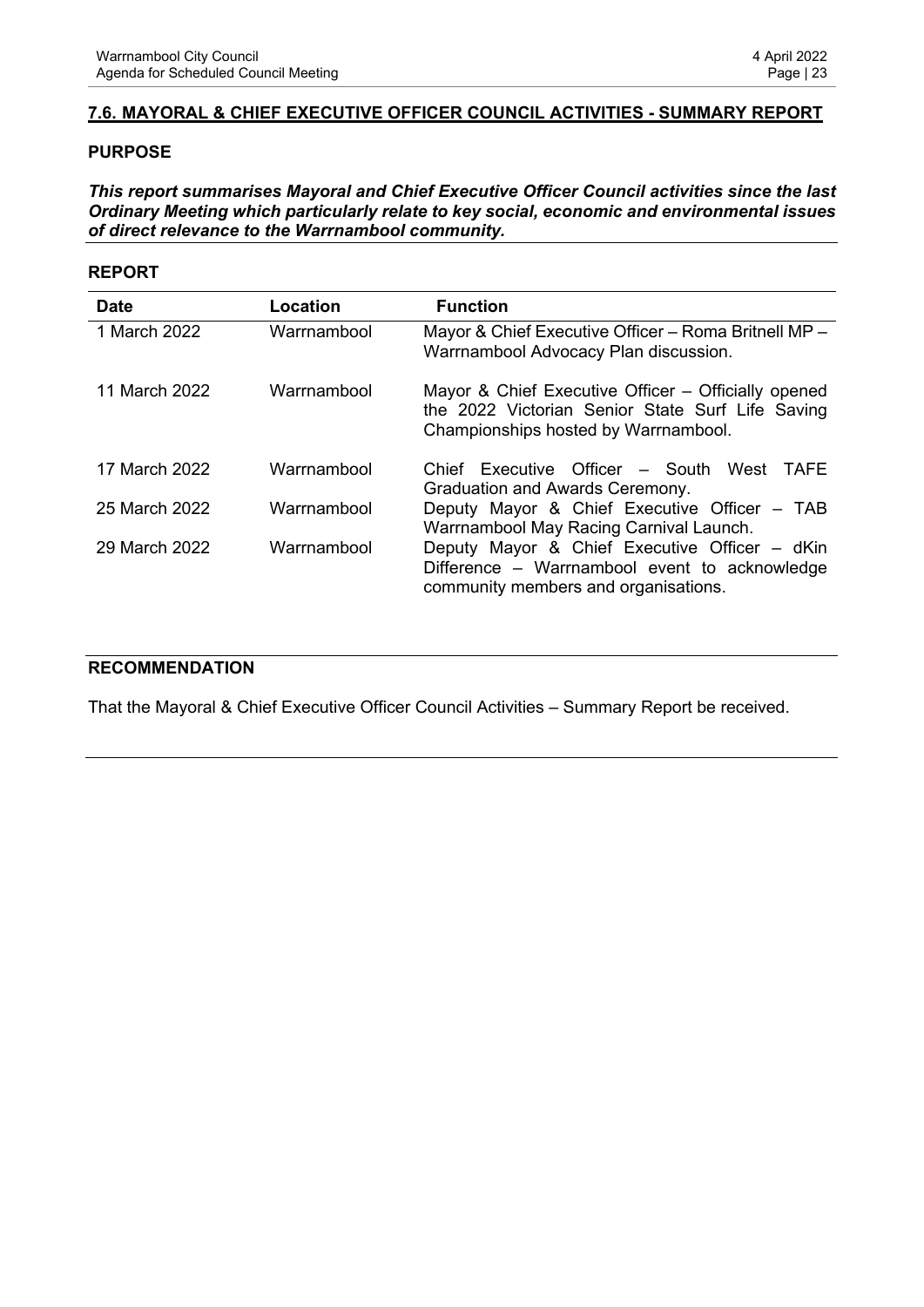## <span id="page-22-0"></span>**7.6. MAYORAL & CHIEF EXECUTIVE OFFICER COUNCIL ACTIVITIES - SUMMARY REPORT**

#### **PURPOSE**

*This report summarises Mayoral and Chief Executive Officer Council activities since the last Ordinary Meeting which particularly relate to key social, economic and environmental issues of direct relevance to the Warrnambool community.*

#### **REPORT**

| <b>Date</b>   | Location    | <b>Function</b>                                                                                                                                 |
|---------------|-------------|-------------------------------------------------------------------------------------------------------------------------------------------------|
| 1 March 2022  | Warrnambool | Mayor & Chief Executive Officer - Roma Britnell MP -<br>Warrnambool Advocacy Plan discussion.                                                   |
| 11 March 2022 | Warrnambool | Mayor & Chief Executive Officer - Officially opened<br>the 2022 Victorian Senior State Surf Life Saving<br>Championships hosted by Warrnambool. |
| 17 March 2022 | Warrnambool | Chief Executive Officer - South West TAFE<br>Graduation and Awards Ceremony.                                                                    |
| 25 March 2022 | Warrnambool | Deputy Mayor & Chief Executive Officer - TAB<br>Warrnambool May Racing Carnival Launch.                                                         |
| 29 March 2022 | Warrnambool | Deputy Mayor & Chief Executive Officer - dKin<br>Difference – Warrnambool event to acknowledge<br>community members and organisations.          |

#### **RECOMMENDATION**

That the Mayoral & Chief Executive Officer Council Activities – Summary Report be received.